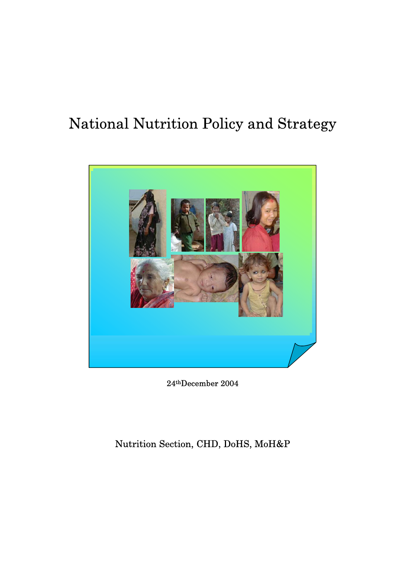# National Nutrition Policy and Strategy



24thDecember 2004

# Nutrition Section, CHD, DoHS, MoH&P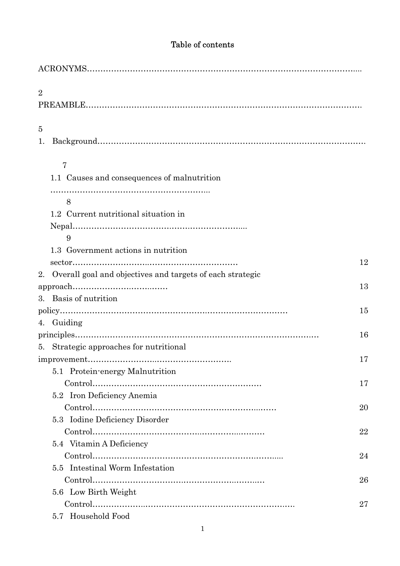# Table of contents

| $\overline{2}$                                               |    |
|--------------------------------------------------------------|----|
| 5                                                            |    |
| 1.                                                           |    |
| 7                                                            |    |
| 1.1 Causes and consequences of malnutrition                  |    |
| 8                                                            |    |
| 1.2 Current nutritional situation in                         |    |
|                                                              |    |
| 9                                                            |    |
| 1.3 Government actions in nutrition                          |    |
|                                                              | 12 |
| 2. Overall goal and objectives and targets of each strategic |    |
| 3. Basis of nutrition                                        | 13 |
|                                                              | 15 |
| 4. Guiding                                                   |    |
|                                                              | 16 |
| 5. Strategic approaches for nutritional                      |    |
|                                                              | 17 |
| 5.1 Protein-energy Malnutrition                              |    |
|                                                              | 17 |
| 5.2 Iron Deficiency Anemia                                   |    |
|                                                              | 20 |
| 5.3 Iodine Deficiency Disorder                               |    |
|                                                              | 22 |
| 5.4 Vitamin A Deficiency                                     |    |
|                                                              | 24 |
| 5.5 Intestinal Worm Infestation                              |    |
|                                                              | 26 |
| 5.6 Low Birth Weight                                         |    |
|                                                              | 27 |
| 5.7 Household Food                                           |    |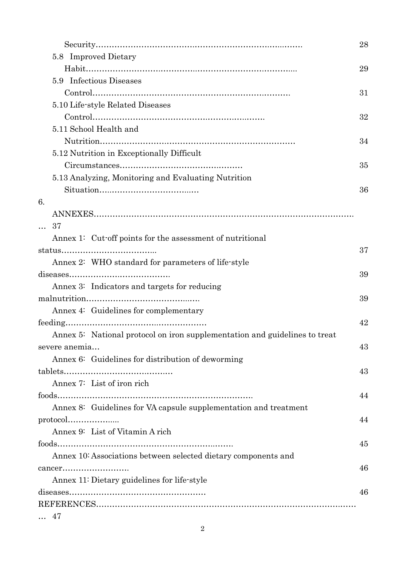|                                                                            | 28 |
|----------------------------------------------------------------------------|----|
| 5.8 Improved Dietary                                                       |    |
|                                                                            | 29 |
| 5.9 Infectious Diseases                                                    |    |
|                                                                            | 31 |
| 5.10 Life-style Related Diseases                                           |    |
|                                                                            | 32 |
| 5.11 School Health and                                                     |    |
|                                                                            | 34 |
| 5.12 Nutrition in Exceptionally Difficult                                  |    |
|                                                                            | 35 |
| 5.13 Analyzing, Monitoring and Evaluating Nutrition                        |    |
|                                                                            | 36 |
| 6.                                                                         |    |
|                                                                            |    |
| 37                                                                         |    |
| Annex 1: Cut-off points for the assessment of nutritional                  |    |
|                                                                            | 37 |
| Annex 2: WHO standard for parameters of life-style                         |    |
|                                                                            | 39 |
| Annex 3: Indicators and targets for reducing                               |    |
|                                                                            | 39 |
| Annex 4: Guidelines for complementary                                      |    |
|                                                                            | 42 |
| Annex 5: National protocol on iron supplementation and guidelines to treat |    |
| severe anemia                                                              | 43 |
| Annex 6: Guidelines for distribution of deworming                          |    |
|                                                                            | 43 |
| Annex 7: List of iron rich                                                 |    |
|                                                                            | 44 |
| Annex 8: Guidelines for VA capsule supplementation and treatment           |    |
|                                                                            | 44 |
| Annex 9: List of Vitamin A rich                                            |    |
|                                                                            | 45 |
| Annex 10: Associations between selected dietary components and             |    |
| cancer                                                                     | 46 |
| Annex 11: Dietary guidelines for life-style                                |    |
|                                                                            | 46 |
|                                                                            |    |
| 47                                                                         |    |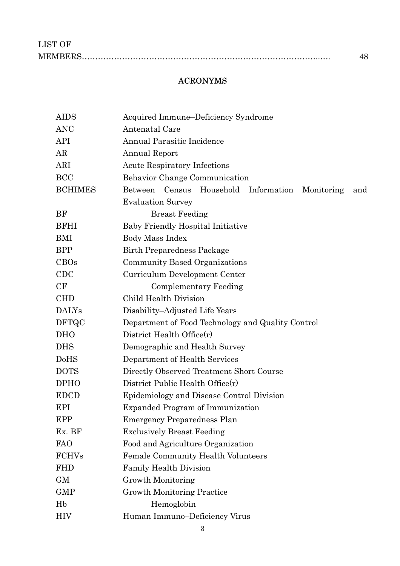# ACRONYMS

| AIDS           | Acquired Immune-Deficiency Syndrome                          |  |  |  |
|----------------|--------------------------------------------------------------|--|--|--|
| <b>ANC</b>     | Antenatal Care                                               |  |  |  |
| API            | Annual Parasitic Incidence                                   |  |  |  |
| AR             | <b>Annual Report</b>                                         |  |  |  |
| ARI            | <b>Acute Respiratory Infections</b>                          |  |  |  |
| <b>BCC</b>     | Behavior Change Communication                                |  |  |  |
| <b>BCHIMES</b> | Census Household Information<br>Between<br>Monitoring<br>and |  |  |  |
|                | <b>Evaluation Survey</b>                                     |  |  |  |
| BF             | <b>Breast Feeding</b>                                        |  |  |  |
| <b>BFHI</b>    | <b>Baby Friendly Hospital Initiative</b>                     |  |  |  |
| BMI            | Body Mass Index                                              |  |  |  |
| <b>BPP</b>     | <b>Birth Preparedness Package</b>                            |  |  |  |
| CBOs           | Community Based Organizations                                |  |  |  |
| <b>CDC</b>     | Curriculum Development Center                                |  |  |  |
| CF             | <b>Complementary Feeding</b>                                 |  |  |  |
| <b>CHD</b>     | <b>Child Health Division</b>                                 |  |  |  |
| <b>DALYs</b>   | Disability–Adjusted Life Years                               |  |  |  |
| <b>DFTQC</b>   | Department of Food Technology and Quality Control            |  |  |  |
| <b>DHO</b>     | District Health Office $(r)$                                 |  |  |  |
| <b>DHS</b>     | Demographic and Health Survey                                |  |  |  |
| DoHS           | Department of Health Services                                |  |  |  |
| <b>DOTS</b>    | Directly Observed Treatment Short Course                     |  |  |  |
| <b>DPHO</b>    | District Public Health Office $(r)$                          |  |  |  |
| <b>EDCD</b>    | Epidemiology and Disease Control Division                    |  |  |  |
| EPI            | <b>Expanded Program of Immunization</b>                      |  |  |  |
| EPP            | <b>Emergency Preparedness Plan</b>                           |  |  |  |
| Ex. BF         | <b>Exclusively Breast Feeding</b>                            |  |  |  |
| <b>FAO</b>     | Food and Agriculture Organization                            |  |  |  |
| <b>FCHVs</b>   | <b>Female Community Health Volunteers</b>                    |  |  |  |
| <b>FHD</b>     | Family Health Division                                       |  |  |  |
| GM             | Growth Monitoring                                            |  |  |  |
| <b>GMP</b>     | <b>Growth Monitoring Practice</b>                            |  |  |  |
| Hb             | Hemoglobin                                                   |  |  |  |
| <b>HIV</b>     | Human Immuno-Deficiency Virus                                |  |  |  |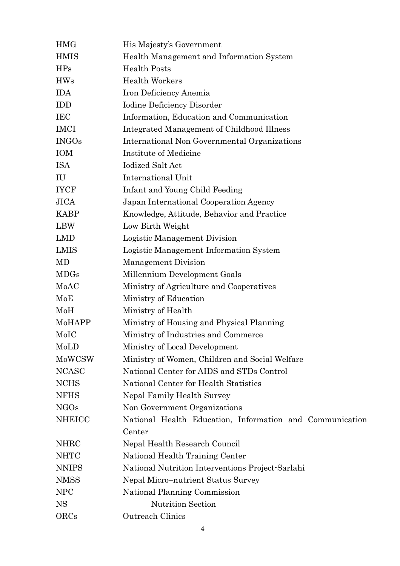| <b>HMG</b>    | His Majesty's Government                                 |
|---------------|----------------------------------------------------------|
| <b>HMIS</b>   | Health Management and Information System                 |
| <b>HPs</b>    | <b>Health Posts</b>                                      |
| <b>HWs</b>    | <b>Health Workers</b>                                    |
| <b>IDA</b>    | Iron Deficiency Anemia                                   |
| <b>IDD</b>    | <b>Iodine Deficiency Disorder</b>                        |
| <b>IEC</b>    | Information, Education and Communication                 |
| <b>IMCI</b>   | Integrated Management of Childhood Illness               |
| <b>INGOs</b>  | International Non Governmental Organizations             |
| IOM           | Institute of Medicine                                    |
| ISA           | <b>Iodized Salt Act</b>                                  |
| IU            | International Unit                                       |
| <b>IYCF</b>   | Infant and Young Child Feeding                           |
| <b>JICA</b>   | Japan International Cooperation Agency                   |
| <b>KABP</b>   | Knowledge, Attitude, Behavior and Practice               |
| <b>LBW</b>    | Low Birth Weight                                         |
| LMD           | Logistic Management Division                             |
| LMIS          | Logistic Management Information System                   |
| MD            | <b>Management Division</b>                               |
| <b>MDGs</b>   | Millennium Development Goals                             |
| MoAC          | Ministry of Agriculture and Cooperatives                 |
| MoE           | Ministry of Education                                    |
| MoH           | Ministry of Health                                       |
| MoHAPP        | Ministry of Housing and Physical Planning                |
| MoIC          | Ministry of Industries and Commerce                      |
| MoLD          | Ministry of Local Development                            |
| MoWCSW        | Ministry of Women, Children and Social Welfare           |
| <b>NCASC</b>  | National Center for AIDS and STDs Control                |
| <b>NCHS</b>   | National Center for Health Statistics                    |
| <b>NFHS</b>   | Nepal Family Health Survey                               |
| <b>NGOs</b>   | Non Government Organizations                             |
| <b>NHEICC</b> | National Health Education, Information and Communication |
|               | Center                                                   |
| <b>NHRC</b>   | Nepal Health Research Council                            |
| <b>NHTC</b>   | National Health Training Center                          |
| <b>NNIPS</b>  | National Nutrition Interventions Project-Sarlahi         |
| <b>NMSS</b>   | Nepal Micro-nutrient Status Survey                       |
| <b>NPC</b>    | National Planning Commission                             |
| <b>NS</b>     | <b>Nutrition Section</b>                                 |
| ORCs          | Outreach Clinics                                         |
|               |                                                          |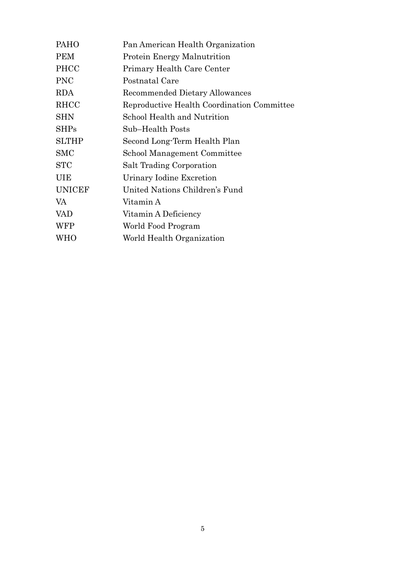| PAHO          | Pan American Health Organization           |
|---------------|--------------------------------------------|
| <b>PEM</b>    | <b>Protein Energy Malnutrition</b>         |
| <b>PHCC</b>   | Primary Health Care Center                 |
| <b>PNC</b>    | Postnatal Care                             |
| <b>RDA</b>    | Recommended Dietary Allowances             |
| RHCC          | Reproductive Health Coordination Committee |
| <b>SHN</b>    | School Health and Nutrition                |
| <b>SHPs</b>   | Sub–Health Posts                           |
| <b>SLTHP</b>  | Second Long-Term Health Plan               |
| <b>SMC</b>    | School Management Committee                |
| <b>STC</b>    | Salt Trading Corporation                   |
| UIE           | Urinary Iodine Excretion                   |
| <b>UNICEF</b> | United Nations Children's Fund             |
| VA            | Vitamin A                                  |
| <b>VAD</b>    | Vitamin A Deficiency                       |
| WFP           | World Food Program                         |
| WHO           | World Health Organization                  |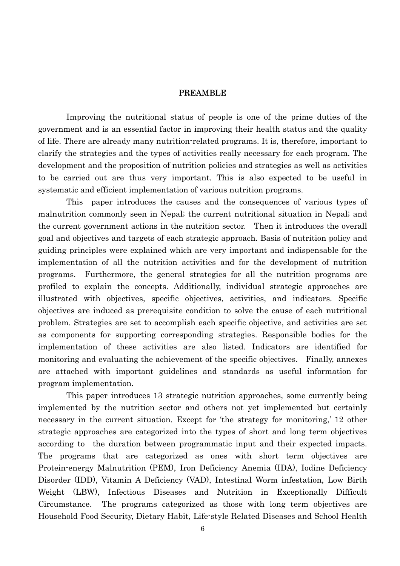#### **PREAMBLE**

Improving the nutritional status of people is one of the prime duties of the government and is an essential factor in improving their health status and the quality of life. There are already many nutrition-related programs. It is, therefore, important to clarify the strategies and the types of activities really necessary for each program. The development and the proposition of nutrition policies and strategies as well as activities to be carried out are thus very important. This is also expected to be useful in systematic and efficient implementation of various nutrition programs.

This paper introduces the causes and the consequences of various types of malnutrition commonly seen in Nepal; the current nutritional situation in Nepal; and the current government actions in the nutrition sector. Then it introduces the overall goal and objectives and targets of each strategic approach. Basis of nutrition policy and guiding principles were explained which are very important and indispensable for the implementation of all the nutrition activities and for the development of nutrition programs. Furthermore, the general strategies for all the nutrition programs are profiled to explain the concepts. Additionally, individual strategic approaches are illustrated with objectives, specific objectives, activities, and indicators. Specific objectives are induced as prerequisite condition to solve the cause of each nutritional problem. Strategies are set to accomplish each specific objective, and activities are set as components for supporting corresponding strategies. Responsible bodies for the implementation of these activities are also listed. Indicators are identified for monitoring and evaluating the achievement of the specific objectives. Finally, annexes are attached with important guidelines and standards as useful information for program implementation.

This paper introduces 13 strategic nutrition approaches, some currently being implemented by the nutrition sector and others not yet implemented but certainly necessary in the current situation. Except for 'the strategy for monitoring,' 12 other strategic approaches are categorized into the types of short and long term objectives according to the duration between programmatic input and their expected impacts. The programs that are categorized as ones with short term objectives are Protein-energy Malnutrition (PEM), Iron Deficiency Anemia (IDA), Iodine Deficiency Disorder (IDD), Vitamin A Deficiency (VAD), Intestinal Worm infestation, Low Birth Weight (LBW), Infectious Diseases and Nutrition in Exceptionally Difficult Circumstance. The programs categorized as those with long term objectives are Household Food Security, Dietary Habit, Life-style Related Diseases and School Health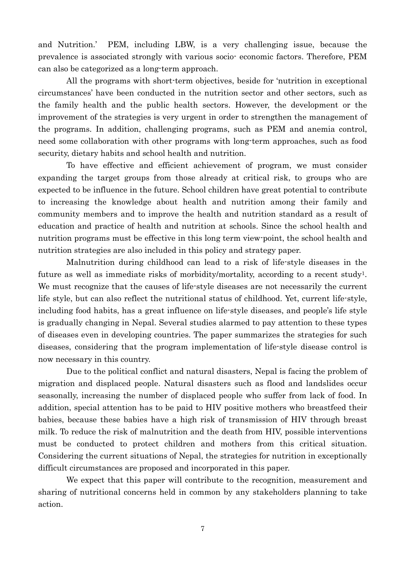and Nutrition.' PEM, including LBW, is a very challenging issue, because the prevalence is associated strongly with various socio- economic factors. Therefore, PEM can also be categorized as a long-term approach.

All the programs with short-term objectives, beside for 'nutrition in exceptional circumstances' have been conducted in the nutrition sector and other sectors, such as the family health and the public health sectors. However, the development or the improvement of the strategies is very urgent in order to strengthen the management of the programs. In addition, challenging programs, such as PEM and anemia control, need some collaboration with other programs with long-term approaches, such as food security, dietary habits and school health and nutrition.

 To have effective and efficient achievement of program, we must consider expanding the target groups from those already at critical risk, to groups who are expected to be influence in the future. School children have great potential to contribute to increasing the knowledge about health and nutrition among their family and community members and to improve the health and nutrition standard as a result of education and practice of health and nutrition at schools. Since the school health and nutrition programs must be effective in this long term view-point, the school health and nutrition strategies are also included in this policy and strategy paper.

Malnutrition during childhood can lead to a risk of life-style diseases in the future as well as immediate risks of morbidity/mortality, according to a recent study1. We must recognize that the causes of life-style diseases are not necessarily the current life style, but can also reflect the nutritional status of childhood. Yet, current life-style, including food habits, has a great influence on life-style diseases, and people's life style is gradually changing in Nepal. Several studies alarmed to pay attention to these types of diseases even in developing countries. The paper summarizes the strategies for such diseases, considering that the program implementation of life-style disease control is now necessary in this country.

Due to the political conflict and natural disasters, Nepal is facing the problem of migration and displaced people. Natural disasters such as flood and landslides occur seasonally, increasing the number of displaced people who suffer from lack of food. In addition, special attention has to be paid to HIV positive mothers who breastfeed their babies, because these babies have a high risk of transmission of HIV through breast milk. To reduce the risk of malnutrition and the death from HIV, possible interventions must be conducted to protect children and mothers from this critical situation. Considering the current situations of Nepal, the strategies for nutrition in exceptionally difficult circumstances are proposed and incorporated in this paper.

We expect that this paper will contribute to the recognition, measurement and sharing of nutritional concerns held in common by any stakeholders planning to take action.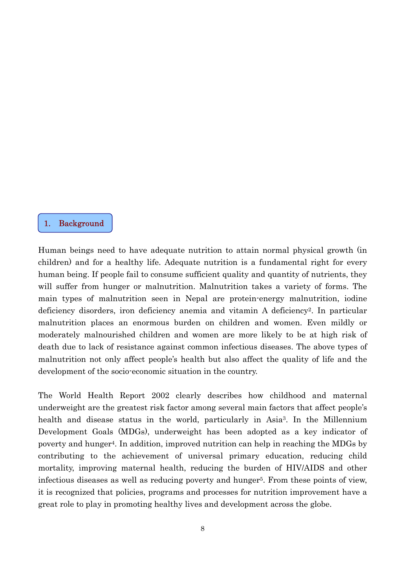#### 1. Background

 $\overline{\phantom{a}}$ l

Human beings need to have adequate nutrition to attain normal physical growth (in children) and for a healthy life. Adequate nutrition is a fundamental right for every human being. If people fail to consume sufficient quality and quantity of nutrients, they will suffer from hunger or malnutrition. Malnutrition takes a variety of forms. The main types of malnutrition seen in Nepal are protein-energy malnutrition, iodine deficiency disorders, iron deficiency anemia and vitamin A deficiency2. In particular malnutrition places an enormous burden on children and women. Even mildly or moderately malnourished children and women are more likely to be at high risk of death due to lack of resistance against common infectious diseases. The above types of malnutrition not only affect people's health but also affect the quality of life and the development of the socio-economic situation in the country.

The World Health Report 2002 clearly describes how childhood and maternal underweight are the greatest risk factor among several main factors that affect people's health and disease status in the world, particularly in Asia<sup>3</sup>. In the Millennium Development Goals (MDGs), underweight has been adopted as a key indicator of poverty and hunger4. In addition, improved nutrition can help in reaching the MDGs by contributing to the achievement of universal primary education, reducing child mortality, improving maternal health, reducing the burden of HIV/AIDS and other infectious diseases as well as reducing poverty and hunger<sup>5</sup>. From these points of view, it is recognized that policies, programs and processes for nutrition improvement have a great role to play in promoting healthy lives and development across the globe.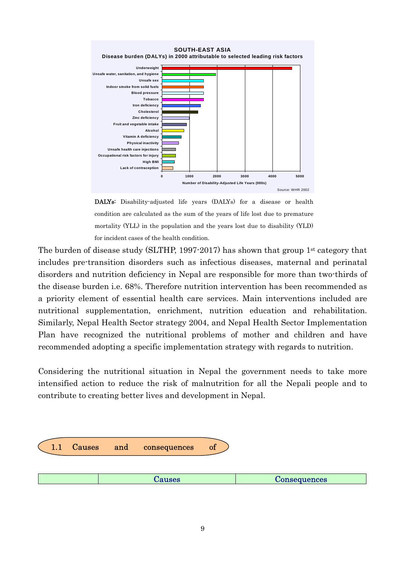

DALYs: Disability-adjusted life years (DALYs) for a disease or health condition are calculated as the sum of the years of life lost due to premature mortality (YLL) in the population and the years lost due to disability (YLD) for incident cases of the health condition.

The burden of disease study (SLTHP, 1997-2017) has shown that group 1st category that includes pre-transition disorders such as infectious diseases, maternal and perinatal disorders and nutrition deficiency in Nepal are responsible for more than two-thirds of the disease burden i.e. 68%. Therefore nutrition intervention has been recommended as a priority element of essential health care services. Main interventions included are nutritional supplementation, enrichment, nutrition education and rehabilitation. Similarly, Nepal Health Sector strategy 2004, and Nepal Health Sector Implementation Plan have recognized the nutritional problems of mother and children and have recommended adopting a specific implementation strategy with regards to nutrition.

Considering the nutritional situation in Nepal the government needs to take more intensified action to reduce the risk of malnutrition for all the Nepali people and to contribute to creating better lives and development in Nepal.

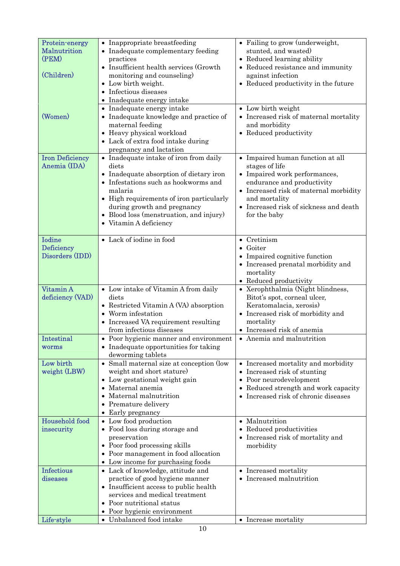| Protein-energy<br>Malnutrition      | • Inappropriate breastfeeding<br>• Inadequate complementary feeding             | • Failing to grow (underweight,<br>stunted, and wasted)                      |
|-------------------------------------|---------------------------------------------------------------------------------|------------------------------------------------------------------------------|
| (PEM)                               | practices<br>• Insufficient health services (Growth                             | • Reduced learning ability<br>• Reduced resistance and immunity              |
| (Children)                          | monitoring and counseling)<br>• Low birth weight.                               | against infection<br>• Reduced productivity in the future                    |
|                                     | • Infectious diseases                                                           |                                                                              |
|                                     | • Inadequate energy intake<br>• Inadequate energy intake                        | • Low birth weight                                                           |
| (Women)                             | • Inadequate knowledge and practice of                                          | • Increased risk of maternal mortality                                       |
|                                     | maternal feeding<br>• Heavy physical workload                                   | and morbidity<br>• Reduced productivity                                      |
|                                     | • Lack of extra food intake during                                              |                                                                              |
| <b>Iron Deficiency</b>              | pregnancy and lactation<br>• Inadequate intake of iron from daily               | • Impaired human function at all                                             |
| Anemia (IDA)                        | diets                                                                           | stages of life                                                               |
|                                     | • Inadequate absorption of dietary iron<br>• Infestations such as hookworms and | • Impaired work performances,<br>endurance and productivity                  |
|                                     | malaria<br>• High requirements of iron particularly                             | • Increased risk of maternal morbidity<br>and mortality                      |
|                                     | during growth and pregnancy                                                     | • Increased risk of sickness and death                                       |
|                                     | • Blood loss (menstruation, and injury)<br>• Vitamin A deficiency               | for the baby                                                                 |
|                                     |                                                                                 |                                                                              |
| <b>Iodine</b><br><b>Deficiency</b>  | • Lack of iodine in food                                                        | $\bullet$ Cretinism<br>$\bullet$ Goiter                                      |
| Disorders (IDD)                     |                                                                                 | • Impaired cognitive function                                                |
|                                     |                                                                                 | • Increased prenatal morbidity and<br>mortality                              |
|                                     |                                                                                 | • Reduced productivity                                                       |
| Vitamin A<br>deficiency (VAD)       | • Low intake of Vitamin A from daily<br>diets                                   | • Xerophthalmia (Night blindness,<br>Bitot's spot, corneal ulcer,            |
|                                     | • Restricted Vitamin A (VA) absorption                                          | Keratomalacia, xerosis)                                                      |
|                                     | Worm infestation<br>• Increased VA requirement resulting                        | • Increased risk of morbidity and<br>mortality                               |
|                                     | from infectious diseases                                                        | • Increased risk of anemia                                                   |
| $\bm{\mathrm{Intestinal}}$<br>worms | • Poor hygienic manner and environment<br>• Inadequate opportunities for taking | • Anemia and malnutrition                                                    |
|                                     | deworming tablets                                                               |                                                                              |
| Low birth<br>weight (LBW)           | • Small maternal size at conception (low<br>weight and short stature)           | • Increased mortality and morbidity<br>• Increased risk of stunting          |
|                                     | • Low gestational weight gain                                                   | • Poor neurodevelopment                                                      |
|                                     | • Maternal anemia<br>Maternal malnutrition                                      | • Reduced strength and work capacity<br>• Increased risk of chronic diseases |
|                                     | • Premature delivery                                                            |                                                                              |
| <b>Household food</b>               | • Early pregnancy<br>• Low food production                                      | $\bullet$ Malnutrition                                                       |
| insecurity                          | • Food loss during storage and                                                  | • Reduced productivities                                                     |
|                                     | preservation<br>• Poor food processing skills                                   | • Increased risk of mortality and<br>morbidity                               |
|                                     | • Poor management in food allocation<br>• Low income for purchasing foods       |                                                                              |
| <b>Infectious</b>                   | • Lack of knowledge, attitude and                                               | • Increased mortality                                                        |
| diseases                            | practice of good hygiene manner                                                 | • Increased malnutrition                                                     |
|                                     | • Insufficient access to public health<br>services and medical treatment        |                                                                              |
|                                     | Poor nutritional status                                                         |                                                                              |
| Life-style                          | • Poor hygienic environment<br>• Unbalanced food intake                         | • Increase mortality                                                         |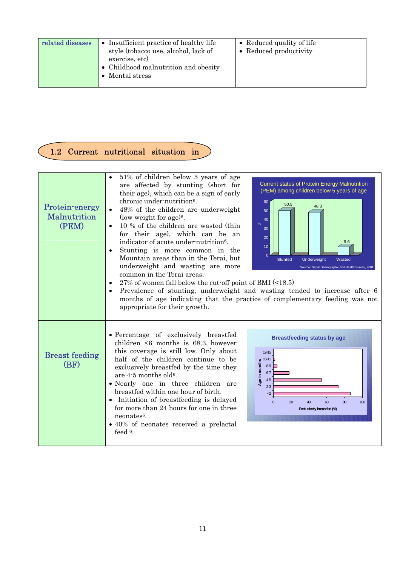| related diseases | Insufficient practice of healthy life<br>$\bullet$<br>style (tobacco use, alcohol, lack of<br>exercise, etc)<br>• Childhood malnutrition and obesity<br>Mental stress | • Reduced quality of life<br>• Reduced productivity |
|------------------|-----------------------------------------------------------------------------------------------------------------------------------------------------------------------|-----------------------------------------------------|
|                  |                                                                                                                                                                       |                                                     |

# 1.2 Current nutritional situation in

C |

| Protein-energy<br>Malnutrition<br>(PEM) | 51% of children below 5 years of age<br>are affected by stunting (short for<br>their age), which can be a sign of early<br>chronic under-nutrition <sup>6</sup> .<br>48% of the children are underweight<br>(low weight for age) <sup>6</sup> .<br>10 % of the children are wasted (thin<br>$\bullet$<br>for their age), which can be an<br>indicator of acute under-nutrition <sup>6</sup> .<br>Stunting is more common in the<br>Mountain areas than in the Terai, but<br>underweight and wasting are more<br>common in the Terai areas.<br>27% of women fall below the cut-off point of BMI $(\leq 18.5)$<br>appropriate for their growth. | <b>Current status of Protein Energy Malnutrition</b><br>(PEM) among children below 5 years of age<br>60<br>50.5<br>48.3<br>50<br>40<br>$\frac{9}{6}$<br>30<br>20<br>9.6<br>10 <sub>1</sub><br>$\Omega$<br><b>Stunted</b><br><b>Underweight</b><br>Wasted<br>Source: Nepal Demographic and Health Survey, 2001<br>Prevalence of stunting, underweight and wasting tended to increase after 6<br>months of age indicating that the practice of complementary feeding was not |
|-----------------------------------------|-----------------------------------------------------------------------------------------------------------------------------------------------------------------------------------------------------------------------------------------------------------------------------------------------------------------------------------------------------------------------------------------------------------------------------------------------------------------------------------------------------------------------------------------------------------------------------------------------------------------------------------------------|----------------------------------------------------------------------------------------------------------------------------------------------------------------------------------------------------------------------------------------------------------------------------------------------------------------------------------------------------------------------------------------------------------------------------------------------------------------------------|
| <b>Breast feeding</b><br>(BF)           | • Percentage of exclusively breastfed<br>children $\leq 6$ months is 68.3, however<br>this coverage is still low. Only about<br>half of the children continue to be<br>exclusively breastfed by the time they<br>are 4-5 months old <sup>6</sup> .<br>· Nearly one in three children are<br>breastfed within one hour of birth.<br>• Initiation of breastfeeding is delayed<br>for more than 24 hours for one in three<br>$neonates6$ .<br>• 40% of neonates received a prelactal<br>feed <sup>6</sup> .                                                                                                                                      | <b>Breastfeeding status by age</b><br>$12 - 15$<br>Age in months<br>$2 - 3$<br>$\mathcal{L}$<br>20<br>40<br>$60^{\circ}$<br>$80^{\circ}$<br>$\Omega$<br>100<br>Exclusively breastfed (%)                                                                                                                                                                                                                                                                                   |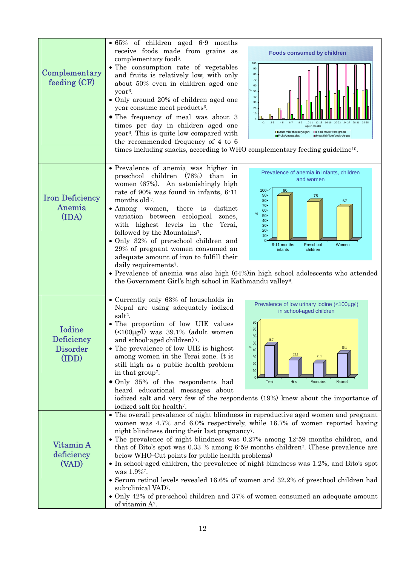| Complementary<br>feeding (CF)                    | $\bullet$ 65% of children aged 6.9 months<br>receive foods made from grains as<br><b>Foods consumed by children</b><br>complementary food <sup>6</sup> .<br>100<br>• The consumption rate of vegetables<br>90<br>and fruits is relatively low, with only<br>80<br>70<br>about 50% even in children aged one<br>60<br>year <sup>6</sup> .<br>50<br>40<br>• Only around 20% of children aged one<br>30<br>year consume meat products <sup>6</sup> .<br>20<br>10<br>• The frequency of meal was about 3<br>$2 - 3$<br>$4 - 5$<br>$6 - 7$<br>$12 - 15$<br>$10 - 11$<br>16-19<br>times per day in children aged one<br>Age in months<br>Other milk/cheese/yogurt<br>□ Food made from grains<br>year <sup>6</sup> . This is quite low compared with<br>Fruits/vegetables<br>Meat/fish/liver/poultry/eggs<br>the recommended frequency of 4 to 6<br>times including snacks, according to WHO complementary feeding guideline <sup>10</sup> .                  |
|--------------------------------------------------|--------------------------------------------------------------------------------------------------------------------------------------------------------------------------------------------------------------------------------------------------------------------------------------------------------------------------------------------------------------------------------------------------------------------------------------------------------------------------------------------------------------------------------------------------------------------------------------------------------------------------------------------------------------------------------------------------------------------------------------------------------------------------------------------------------------------------------------------------------------------------------------------------------------------------------------------------------|
| <b>Iron Deficiency</b><br>Anemia<br>(IDA)        | • Prevalence of anemia was higher in<br>Prevalence of anemia in infants, children<br>preschool children<br>(78%)<br>than in<br>and women<br>women (67%). An astonishingly high<br>100 <sub>1</sub><br>90<br>rate of 90% was found in infants, 6-11<br>90 <sub>o</sub><br>78<br>months old <sup>7</sup> .<br>80<br>67<br>70<br>• Among women, there<br>is<br>distinct<br>60<br>$\%$<br>50<br>variation between ecological<br>zones,<br>40<br>with highest levels in the<br>Terai,<br>30<br>20 <sub>1</sub><br>followed by the Mountains <sup>7</sup> .<br>10<br>• Only 32% of pre-school children and<br>6-11 months<br>Preschool<br>Women<br>29% of pregnant women consumed an<br>infants<br>children<br>adequate amount of iron to fulfill their<br>daily requirements <sup>7</sup> .<br>• Prevalence of anemia was also high $(64%)$ in high school adolescents who attended<br>the Government Girl's high school in Kathmandu valley <sup>8</sup> . |
| Iodine<br>Deficiency<br><b>Disorder</b><br>(IDD) | • Currently only 63% of households in<br>Prevalence of low urinary iodine (<100µg/l)<br>Nepal are using adequately iodized<br>in school-aged children<br>salt <sup>2</sup> .<br>80<br>• The proportion of low UIE values<br>$70 -$<br>$\left($ <100 $\mu$ g/l) was 39.1% (adult women<br>$60 -$<br>and school-aged children) <sup>7</sup> .<br>46.7<br>$50 -$<br>• The prevalence of low UIE is highest<br>%40 <sup>1</sup><br>among women in the Terai zone. It is<br>21.1<br>$30 -$<br>$20 -$<br>still high as a public health problem<br>$10 -$<br>in that group <sup>7</sup> .<br>• Only 35% of the respondents had<br><b>Hills</b><br>Terai<br>Mountains<br>National<br>heard educational messages about<br>iodized salt and very few of the respondents (19%) knew about the importance of<br>iodized salt for health <sup>7</sup> .                                                                                                             |
| Vitamin A<br>deficiency<br>(VAD)                 | • The overall prevalence of night blindness in reproductive aged women and pregnant<br>women was 4.7% and 6.0% respectively, while 16.7% of women reported having<br>night blindness during their last pregnancy <sup>7</sup> .<br>• The prevalence of night blindness was 0.27% among 12-59 months children, and<br>that of Bito's spot was 0.33 % among 6.59 months children <sup>7</sup> . (These prevalence are<br>below WHO-Cut points for public health problems)<br>• In school-aged children, the prevalence of night blindness was 1.2%, and Bito's spot<br>was 1.9% <sup>7</sup> .<br>• Serum retinol levels revealed 16.6% of women and 32.2% of preschool children had<br>sub-clinical VAD <sup>7</sup> .<br>• Only 42% of pre-school children and 37% of women consumed an adequate amount<br>of vitamin A <sup>7</sup> .                                                                                                                 |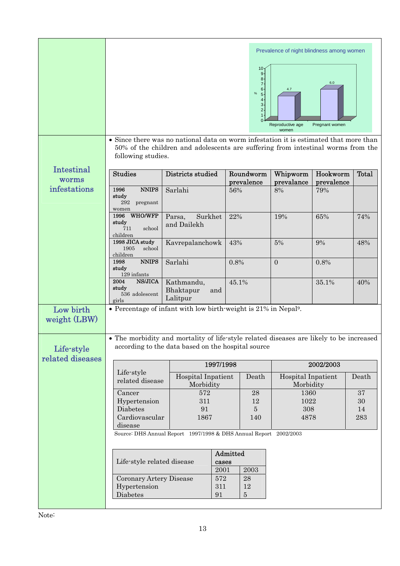|                                | • Since there was no national data on worm infestation it is estimated that more than<br>following studies. | 50% of the children and adolescents are suffering from intestinal worms from the                                                            |          | 10<br>9<br>8 <sup>1</sup><br>7 <sup>5</sup><br>$6 -$<br>$\%$<br>5 <sup>5</sup><br>$\mathbf{4} \cdot$<br>3 <sup>1</sup><br>$2 -$<br>1 | Prevalence of night blindness among women<br>4.7<br>Reproductive age<br>women | 6.0<br>Pregnant women  |          |
|--------------------------------|-------------------------------------------------------------------------------------------------------------|---------------------------------------------------------------------------------------------------------------------------------------------|----------|--------------------------------------------------------------------------------------------------------------------------------------|-------------------------------------------------------------------------------|------------------------|----------|
| Intestinal<br>worms            | <b>Studies</b>                                                                                              | Districts studied                                                                                                                           |          | Roundworm<br>prevalence                                                                                                              | Whipworm<br>prevalance                                                        | Hookworm<br>prevalence | Total    |
| infestations                   | 1996<br><b>NNIPS</b><br>study<br>292<br>pregnant<br>women                                                   | Sarlahi                                                                                                                                     | 56%      |                                                                                                                                      | $8\%$                                                                         | 79%                    |          |
|                                | <b>WHO/WFP</b><br>1996<br>study<br>school<br>711<br>children                                                | Surkhet<br>Parsa,<br>and Dailekh                                                                                                            | 22%      |                                                                                                                                      | 19%                                                                           | 65%                    | 74%      |
|                                | 1998 JICA study<br>1905<br>school<br>children                                                               | Kavrepalanchowk                                                                                                                             | 43%      |                                                                                                                                      | $5\%$                                                                         | 9%                     | 48%      |
|                                | <b>NNIPS</b><br>1998<br>study<br>129 infants                                                                | Sarlahi                                                                                                                                     | 0.8%     |                                                                                                                                      | $\overline{0}$                                                                | 0.8%                   |          |
|                                | NS/JICA<br>2004<br>study<br>536 adolescent<br>girls                                                         | Kathmandu,<br>Bhaktapur<br>and<br>Lalitpur                                                                                                  | 45.1%    |                                                                                                                                      |                                                                               | 35.1%                  | 40%      |
| Low birth<br>weight (LBW)      | • Percentage of infant with low birth-weight is 21% in Nepal <sup>9</sup> .                                 |                                                                                                                                             |          |                                                                                                                                      |                                                                               |                        |          |
| Life-style<br>related diseases |                                                                                                             | The morbidity and mortality of life-style related diseases are likely to be increased<br>according to the data based on the hospital source |          |                                                                                                                                      |                                                                               |                        |          |
|                                | 1997/1998<br>2002/2003                                                                                      |                                                                                                                                             |          |                                                                                                                                      |                                                                               |                        |          |
|                                | Life-style<br>related disease                                                                               | <b>Hospital Inpatient</b><br>Morbidity                                                                                                      |          | Death                                                                                                                                | Hospital Inpatient<br>Morbidity                                               |                        | Death    |
|                                | Cancer                                                                                                      | 572                                                                                                                                         |          | 28                                                                                                                                   | 1360                                                                          |                        | 37       |
|                                | Hypertension<br>Diabetes                                                                                    | 311<br>91                                                                                                                                   |          | 12<br>$\overline{5}$                                                                                                                 | 1022<br>308                                                                   |                        | 30<br>14 |
|                                | Cardiovascular                                                                                              | 1867                                                                                                                                        |          | 140                                                                                                                                  | 4878                                                                          |                        | 283      |
|                                | disease                                                                                                     | Source: DHS Annual Report 1997/1998 & DHS Annual Report 2002/2003                                                                           |          |                                                                                                                                      |                                                                               |                        |          |
|                                |                                                                                                             |                                                                                                                                             | Admitted |                                                                                                                                      |                                                                               |                        |          |
|                                | Life-style related disease                                                                                  | 2001                                                                                                                                        | cases    | 2003                                                                                                                                 |                                                                               |                        |          |
|                                | Coronary Artery Disease                                                                                     | 572                                                                                                                                         |          | 28                                                                                                                                   |                                                                               |                        |          |
|                                | Hypertension<br>Diabetes                                                                                    | 311<br>91                                                                                                                                   |          | 12<br>$\bf 5$                                                                                                                        |                                                                               |                        |          |
|                                |                                                                                                             |                                                                                                                                             |          |                                                                                                                                      |                                                                               |                        |          |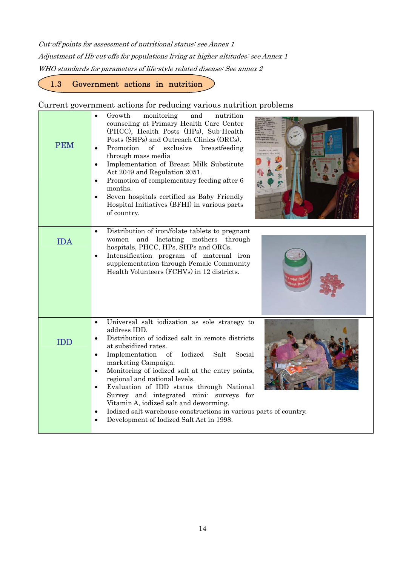Cut-off points for assessment of nutritional status: see Annex 1 Adjustment of Hb-cut-offs for populations living at higher altitudes: see Annex 1 WHO standards for parameters of life-style related disease: See annex 2

1.3 Government actions in nutrition

 $\overline{a}$ 

#### Current government actions for reducing various nutrition problems

|            | Growth<br>monitoring<br>nutrition<br>and<br>$\bullet$                                                                                                                                                                                                                                                                                                                                                                                                                                                                                                                                                                         |
|------------|-------------------------------------------------------------------------------------------------------------------------------------------------------------------------------------------------------------------------------------------------------------------------------------------------------------------------------------------------------------------------------------------------------------------------------------------------------------------------------------------------------------------------------------------------------------------------------------------------------------------------------|
| <b>PEM</b> | counseling at Primary Health Care Center<br>(PHCC), Health Posts (HPs), Sub-Health<br>Posts (SHPs) and Outreach Clinics (ORCs).<br>Promotion<br>of<br>exclusive<br>breastfeeding<br>$\bullet$<br>through mass media<br>Implementation of Breast Milk Substitute<br>Act 2049 and Regulation 2051.<br>Promotion of complementary feeding after 6<br>$\bullet$<br>months.<br>Seven hospitals certified as Baby Friendly<br>$\bullet$<br>Hospital Initiatives (BFHI) in various parts<br>of country.                                                                                                                              |
| <b>IDA</b> | Distribution of iron/folate tablets to pregnant<br>$\bullet$<br>and<br>lactating mothers through<br>women<br>hospitals, PHCC, HPs, SHPs and ORCs.<br>Intensification program of maternal iron<br>$\bullet$<br>supplementation through Female Community<br>Health Volunteers (FCHVs) in 12 districts.                                                                                                                                                                                                                                                                                                                          |
| <b>IDD</b> | Universal salt iodization as sole strategy to<br>$\bullet$<br>address IDD.<br>Distribution of iodized salt in remote districts<br>$\bullet$<br>at subsidized rates.<br>Iodized<br>Implementation<br>of<br>Salt<br>Social<br>$\bullet$<br>marketing Campaign.<br>Monitoring of iodized salt at the entry points,<br>$\bullet$<br>regional and national levels.<br>Evaluation of IDD status through National<br>$\bullet$<br>Survey and integrated mini- surveys for<br>Vitamin A, iodized salt and deworming.<br>Iodized salt warehouse constructions in various parts of country.<br>Development of Iodized Salt Act in 1998. |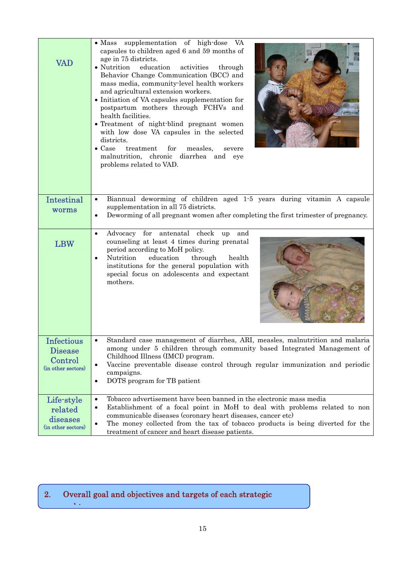| <b>VAD</b>                                                    | • Mass supplementation of high-dose VA<br>capsules to children aged 6 and 59 months of<br>age in 75 districts.<br>• Nutrition<br>education<br>activities<br>through<br>Behavior Change Communication (BCC) and<br>mass media, community-level health workers<br>and agricultural extension workers.<br>• Initiation of VA capsules supplementation for<br>postpartum mothers through FCHVs and<br>health facilities.<br>• Treatment of night-blind pregnant women<br>with low dose VA capsules in the selected<br>districts.<br>$\bullet$ Case<br>treatment<br>for<br>measles,<br>severe<br>malnutrition, chronic diarrhea and eye<br>problems related to VAD. |
|---------------------------------------------------------------|----------------------------------------------------------------------------------------------------------------------------------------------------------------------------------------------------------------------------------------------------------------------------------------------------------------------------------------------------------------------------------------------------------------------------------------------------------------------------------------------------------------------------------------------------------------------------------------------------------------------------------------------------------------|
| <b>Intestinal</b><br>worms                                    | Biannual deworming of children aged 1.5 years during vitamin A capsule<br>$\bullet$<br>supplementation in all 75 districts.<br>Deworming of all pregnant women after completing the first trimester of pregnancy.                                                                                                                                                                                                                                                                                                                                                                                                                                              |
| <b>LBW</b>                                                    | Advocacy for antenatal check<br>and<br>up<br>$\bullet$<br>counseling at least 4 times during prenatal<br>period according to MoH policy.<br>Nutrition<br>education<br>through<br>health<br>$\bullet$<br>institutions for the general population with<br>special focus on adolescents and expectant<br>mothers.                                                                                                                                                                                                                                                                                                                                                 |
| Infectious<br><b>Disease</b><br>Control<br>(in other sectors) | Standard case management of diarrhea, ARI, measles, malnutrition and malaria<br>among under 5 children through community based Integrated Management of<br>Childhood Illness (IMCI) program.<br>Vaccine preventable disease control through regular immunization and periodic<br>$\bullet$<br>campaigns.<br>DOTS program for TB patient<br>$\bullet$                                                                                                                                                                                                                                                                                                           |
| Life-style<br>related<br>diseases<br>(in other sectors)       | Tobacco advertisement have been banned in the electronic mass media<br>$\bullet$<br>Establishment of a focal point in MoH to deal with problems related to non<br>٠<br>communicable diseases (coronary heart diseases, cancer etc)<br>The money collected from the tax of tobacco products is being diverted for the<br>$\bullet$<br>treatment of cancer and heart disease patients.                                                                                                                                                                                                                                                                           |

### 2. Overall goal and objectives and targets of each strategic h:

ſ l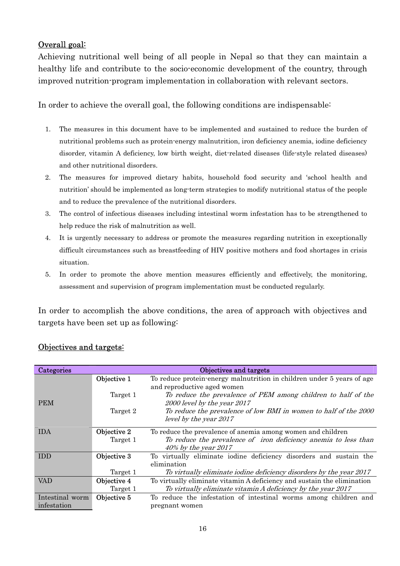### Overall goal:

Achieving nutritional well being of all people in Nepal so that they can maintain a healthy life and contribute to the socio-economic development of the country, through improved nutrition-program implementation in collaboration with relevant sectors.

In order to achieve the overall goal, the following conditions are indispensable:

- 1. The measures in this document have to be implemented and sustained to reduce the burden of nutritional problems such as protein-energy malnutrition, iron deficiency anemia, iodine deficiency disorder, vitamin A deficiency, low birth weight, diet-related diseases (life-style related diseases) and other nutritional disorders.
- 2. The measures for improved dietary habits, household food security and 'school health and nutrition' should be implemented as long-term strategies to modify nutritional status of the people and to reduce the prevalence of the nutritional disorders.
- 3. The control of infectious diseases including intestinal worm infestation has to be strengthened to help reduce the risk of malnutrition as well.
- 4. It is urgently necessary to address or promote the measures regarding nutrition in exceptionally difficult circumstances such as breastfeeding of HIV positive mothers and food shortages in crisis situation.
- 5. In order to promote the above mention measures efficiently and effectively, the monitoring, assessment and supervision of program implementation must be conducted regularly.

In order to accomplish the above conditions, the area of approach with objectives and targets have been set up as following:

| Categories      |             | Objectives and targets                                                  |
|-----------------|-------------|-------------------------------------------------------------------------|
|                 | Objective 1 | To reduce protein-energy malnutrition in children under 5 years of age  |
|                 |             | and reproductive aged women                                             |
|                 | Target 1    | To reduce the prevalence of PEM among children to half of the           |
| <b>PEM</b>      |             | 2000 level by the year 2017                                             |
|                 | Target 2    | To reduce the prevalence of low BMI in women to half of the 2000        |
|                 |             | level by the year 2017                                                  |
| <b>IDA</b>      | Objective 2 | To reduce the prevalence of anemia among women and children             |
|                 | Target 1    | To reduce the prevalence of iron deficiency anemia to less than         |
|                 |             | 40% by the year 2017                                                    |
| <b>IDD</b>      | Objective 3 | To virtually eliminate iodine deficiency disorders and sustain the      |
|                 |             | elimination                                                             |
|                 | Target 1    | To virtually eliminate iodine deficiency disorders by the year 2017     |
| VAD             | Objective 4 | To virtually eliminate vitamin A deficiency and sustain the elimination |
|                 | Target 1    | To virtually eliminate vitamin A deficiency by the year 2017            |
| Intestinal worm | Objective 5 | To reduce the infestation of intestinal worms among children and        |
| infestation     |             | pregnant women                                                          |

# Objectives and targets: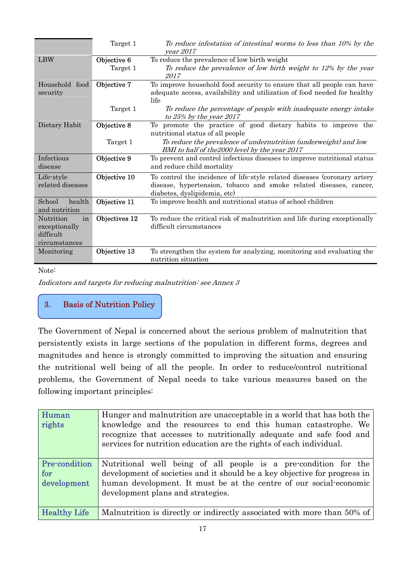|                                                                | Target 1                | To reduce infestation of intestinal worms to less than 10% by the<br>vear 2017                                                                                                 |  |
|----------------------------------------------------------------|-------------------------|--------------------------------------------------------------------------------------------------------------------------------------------------------------------------------|--|
| <b>LBW</b>                                                     | Objective 6<br>Target 1 | To reduce the prevalence of low birth weight<br>To reduce the prevalence of low birth weight to 12% by the year<br>2017                                                        |  |
| Household food<br>security                                     | Objective 7             | To improve household food security to ensure that all people can have<br>adequate access, availability and utilization of food needed for healthy<br>life                      |  |
|                                                                | Target 1                | To reduce the percentage of people with inadequate energy intake<br>to $25\%$ by the year $2017$                                                                               |  |
| Dietary Habit                                                  | Objective 8             | To promote the practice of good dietary habits to improve the<br>nutritional status of all people                                                                              |  |
|                                                                | Target 1                | To reduce the prevalence of undernutrition (underweight) and low<br>BMI to half of the 2000 level by the year 2017                                                             |  |
| Infectious<br>disease                                          | Objective 9             | To prevent and control infectious diseases to improve nutritional status<br>and reduce child mortality                                                                         |  |
| Life-style<br>related diseases                                 | Objective 10            | To control the incidence of life-style related diseases (coronary artery<br>disease, hypertension, tobacco and smoke related diseases, cancer,<br>diabetes, dyslipidemia, etc) |  |
| School<br>health<br>and nutrition                              | Objective 11            | To improve health and nutritional status of school children                                                                                                                    |  |
| Nutrition<br>in<br>exceptionally<br>difficult<br>circumstances | Objectives 12           | To reduce the critical risk of malnutrition and life during exceptionally<br>difficult circumstances                                                                           |  |
| Monitoring                                                     | Objective 13            | To strengthen the system for analyzing, monitoring and evaluating the<br>nutrition situation                                                                                   |  |

Note:

Indicators and targets for reducing malnutrition: see Annex 3

## 3. Basis of Nutrition Policy

The Government of Nepal is concerned about the serious problem of malnutrition that persistently exists in large sections of the population in different forms, degrees and magnitudes and hence is strongly committed to improving the situation and ensuring the nutritional well being of all the people. In order to reduce/control nutritional problems, the Government of Nepal needs to take various measures based on the following important principles:

| Human<br>rights                            | Hunger and malnutrition are unacceptable in a world that has both the<br>knowledge and the resources to end this human catastrophe. We<br>recognize that accesses to nutritionally adequate and safe food and<br>services for nutrition education are the rights of each individual. |
|--------------------------------------------|--------------------------------------------------------------------------------------------------------------------------------------------------------------------------------------------------------------------------------------------------------------------------------------|
| <b>Pre-condition</b><br>for<br>development | Nutritional well being of all people is a pre-condition for the<br>development of societies and it should be a key objective for progress in<br>human development. It must be at the centre of our social economic<br>development plans and strategies.                              |
| <b>Healthy Life</b>                        | Malnutrition is directly or indirectly associated with more than 50% of                                                                                                                                                                                                              |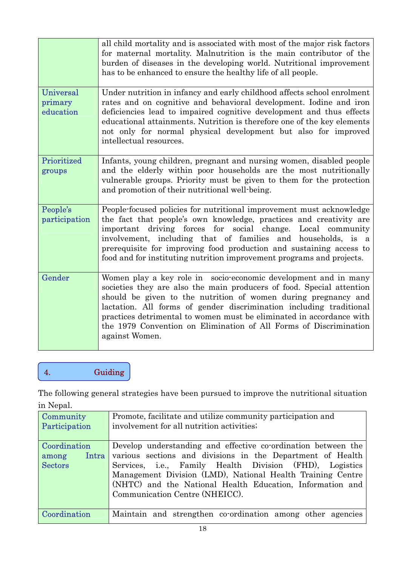|                                          | all child mortality and is associated with most of the major risk factors<br>for maternal mortality. Malnutrition is the main contributor of the<br>burden of diseases in the developing world. Nutritional improvement<br>has to be enhanced to ensure the healthy life of all people.                                                                                                                                                          |
|------------------------------------------|--------------------------------------------------------------------------------------------------------------------------------------------------------------------------------------------------------------------------------------------------------------------------------------------------------------------------------------------------------------------------------------------------------------------------------------------------|
| <b>Universal</b><br>primary<br>education | Under nutrition in infancy and early childhood affects school enrolment<br>rates and on cognitive and behavioral development. Iodine and iron<br>deficiencies lead to impaired cognitive development and thus effects<br>educational attainments. Nutrition is therefore one of the key elements<br>not only for normal physical development but also for improved<br>intellectual resources.                                                    |
| Prioritized<br>groups                    | Infants, young children, pregnant and nursing women, disabled people<br>and the elderly within poor households are the most nutritionally<br>vulnerable groups. Priority must be given to them for the protection<br>and promotion of their nutritional well-being.                                                                                                                                                                              |
| People's<br>participation                | People-focused policies for nutritional improvement must acknowledge<br>the fact that people's own knowledge, practices and creativity are<br>important driving forces for social change. Local community<br>involvement, including that of families and households, is a<br>prerequisite for improving food production and sustaining access to<br>food and for instituting nutrition improvement programs and projects.                        |
| Gender                                   | Women play a key role in socio-economic development and in many<br>societies they are also the main producers of food. Special attention<br>should be given to the nutrition of women during pregnancy and<br>lactation. All forms of gender discrimination including traditional<br>practices detrimental to women must be eliminated in accordance with<br>the 1979 Convention on Elimination of All Forms of Discrimination<br>against Women. |

# 4. Guiding

The following general strategies have been pursued to improve the nutritional situation in Nepal.

| Community           | Promote, facilitate and utilize community participation and     |  |  |  |
|---------------------|-----------------------------------------------------------------|--|--|--|
| Participation       | involvement for all nutrition activities.                       |  |  |  |
|                     |                                                                 |  |  |  |
| <b>Coordination</b> | Develop understanding and effective co-ordination between the   |  |  |  |
| Intra<br>among      | various sections and divisions in the Department of Health      |  |  |  |
| <b>Sectors</b>      | Services, <i>i.e.</i> , Family Health Division (FHD), Logistics |  |  |  |
|                     | Management Division (LMD), National Health Training Centre      |  |  |  |
|                     | (NHTC) and the National Health Education, Information and       |  |  |  |
|                     | Communication Centre (NHEICC).                                  |  |  |  |
|                     |                                                                 |  |  |  |
| <b>Coordination</b> | Maintain and strengthen co-ordination among other agencies      |  |  |  |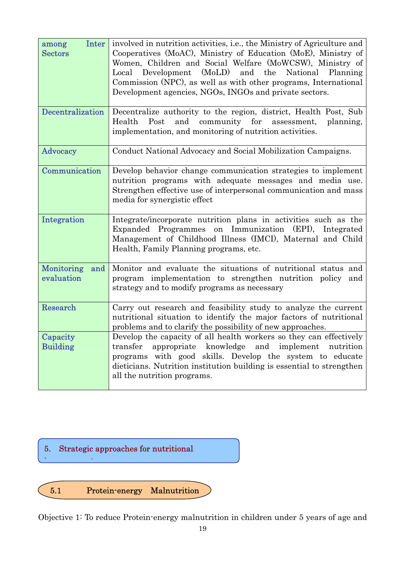| Inter<br>among<br><b>Sectors</b> | involved in nutrition activities, i.e., the Ministry of Agriculture and<br>Cooperatives (MoAC), Ministry of Education (MoE), Ministry of<br>Women, Children and Social Welfare (MoWCSW), Ministry of<br>Local Development (MoLD) and the National Planning<br>Commission (NPC), as well as with other programs, International<br>Development agencies, NGOs, INGOs and private sectors. |  |  |
|----------------------------------|-----------------------------------------------------------------------------------------------------------------------------------------------------------------------------------------------------------------------------------------------------------------------------------------------------------------------------------------------------------------------------------------|--|--|
| Decentralization                 | Decentralize authority to the region, district, Health Post, Sub<br>and community for assessment,<br>Health<br>Post<br>planning,<br>implementation, and monitoring of nutrition activities.                                                                                                                                                                                             |  |  |
| Advocacy                         | Conduct National Advocacy and Social Mobilization Campaigns.                                                                                                                                                                                                                                                                                                                            |  |  |
| Communication                    | Develop behavior change communication strategies to implement<br>nutrition programs with adequate messages and media use.<br>Strengthen effective use of interpersonal communication and mass<br>media for synergistic effect                                                                                                                                                           |  |  |
| Integration                      | Integrate/incorporate nutrition plans in activities such as the<br>Expanded Programmes on Immunization (EPI), Integrated<br>Management of Childhood Illness (IMCI), Maternal and Child<br>Health, Family Planning programs, etc.                                                                                                                                                        |  |  |
| Monitoring<br>and<br>evaluation  | Monitor and evaluate the situations of nutritional status and<br>program implementation to strengthen nutrition policy<br>and<br>strategy and to modify programs as necessary                                                                                                                                                                                                           |  |  |
| Research                         | Carry out research and feasibility study to analyze the current<br>nutritional situation to identify the major factors of nutritional<br>problems and to clarify the possibility of new approaches.                                                                                                                                                                                     |  |  |
| Capacity<br><b>Building</b>      | Develop the capacity of all health workers so they can effectively<br>knowledge and implement<br>transfer<br>appropriate<br>nutrition<br>programs with good skills. Develop the system to educate<br>dieticians. Nutrition institution building is essential to strengthen<br>all the nutrition programs.                                                                               |  |  |



Objective 1: To reduce Protein-energy malnutrition in children under 5 years of age and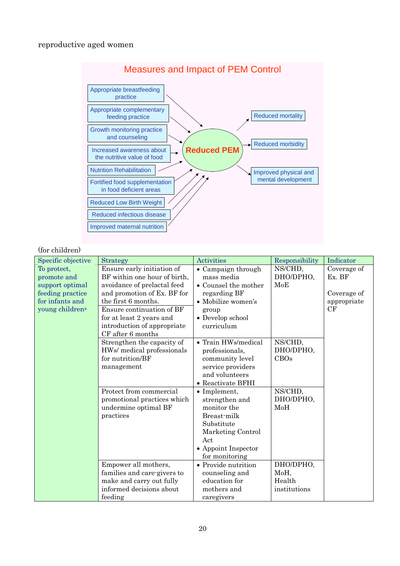#### reproductive aged women



#### (for children)

| Specific objective          | Strategy                     | <b>Activities</b>                     | Responsibility | Indicator   |
|-----------------------------|------------------------------|---------------------------------------|----------------|-------------|
| To protect,                 | Ensure early initiation of   | • Campaign through                    | NS/CHD.        | Coverage of |
| promote and                 | BF within one hour of birth, | mass media                            | DHO/DPHO,      | Ex. BF      |
| support optimal             | avoidance of prelactal feed  | • Counsel the mother                  | MoE            |             |
| feeding practice            | and promotion of Ex. BF for  | regarding BF                          |                | Coverage of |
| for infants and             | the first 6 months.          | $\bullet$ Mobilize women's            |                | appropriate |
| young children <sup>a</sup> | Ensure continuation of BF    | group                                 |                | CF          |
|                             | for at least 2 years and     | • Develop school                      |                |             |
|                             | introduction of appropriate  | curriculum                            |                |             |
|                             | CF after 6 months            |                                       |                |             |
|                             | Strengthen the capacity of   | • Train HWs/medical                   | NS/CHD,        |             |
|                             | HWs/ medical professionals   | professionals,                        | DHO/DPHO,      |             |
|                             | for nutrition/BF             | community level                       | <b>CBOs</b>    |             |
|                             | management                   | service providers                     |                |             |
|                             |                              | and volunteers                        |                |             |
|                             |                              | • Reactivate BFHI                     |                |             |
|                             | Protect from commercial      | $\bullet$ Implement,                  | NS/CHD,        |             |
|                             | promotional practices which  | strengthen and                        | DHO/DPHO,      |             |
|                             | undermine optimal BF         | monitor the                           | MoH            |             |
|                             | practices                    | Breast-milk                           |                |             |
|                             |                              | Substitute                            |                |             |
|                             |                              | Marketing Control                     |                |             |
|                             |                              | Act                                   |                |             |
|                             |                              | • Appoint Inspector                   |                |             |
|                             | Empower all mothers,         | for monitoring<br>• Provide nutrition | DHO/DPHO,      |             |
|                             | families and care-givers to  | counseling and                        | MoH,           |             |
|                             | make and carry out fully     | education for                         | Health         |             |
|                             | informed decisions about     | mothers and                           | institutions   |             |
|                             | feeding                      |                                       |                |             |
|                             |                              | caregivers                            |                |             |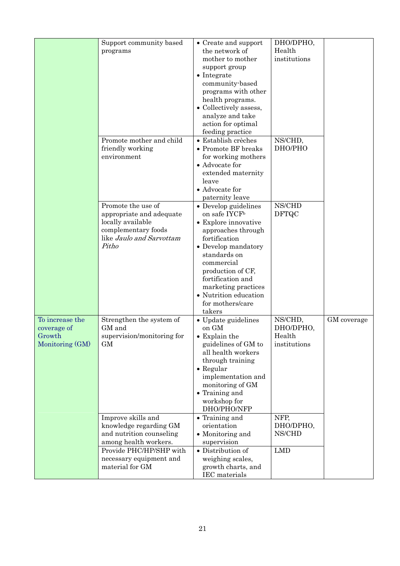|                 | Support community based    | • Create and support      | DHO/DPHO,    |             |
|-----------------|----------------------------|---------------------------|--------------|-------------|
|                 | programs                   | the network of            | Health       |             |
|                 |                            | mother to mother          | institutions |             |
|                 |                            | support group             |              |             |
|                 |                            |                           |              |             |
|                 |                            | $\bullet$ Integrate       |              |             |
|                 |                            | community-based           |              |             |
|                 |                            | programs with other       |              |             |
|                 |                            | health programs.          |              |             |
|                 |                            | • Collectively assess,    |              |             |
|                 |                            | analyze and take          |              |             |
|                 |                            | action for optimal        |              |             |
|                 |                            | feeding practice          |              |             |
|                 | Promote mother and child   | • Establish crèches       | NS/CHD,      |             |
|                 |                            |                           | DHO/PHO      |             |
|                 | friendly working           | • Promote BF breaks       |              |             |
|                 | environment                | for working mothers       |              |             |
|                 |                            | • Advocate for            |              |             |
|                 |                            | extended maternity        |              |             |
|                 |                            | leave                     |              |             |
|                 |                            | • Advocate for            |              |             |
|                 |                            | paternity leave           |              |             |
|                 | Promote the use of         | • Develop guidelines      | NS/CHD       |             |
|                 | appropriate and adequate   | on safe IYCF <sup>b</sup> | <b>DFTQC</b> |             |
|                 | locally available          | • Explore innovative      |              |             |
|                 |                            |                           |              |             |
|                 | complementary foods        | approaches through        |              |             |
|                 | like Jaulo and Sarvottam   | fortification             |              |             |
|                 | Pitho                      | • Develop mandatory       |              |             |
|                 |                            | standards on              |              |             |
|                 |                            | commercial                |              |             |
|                 |                            | production of CF,         |              |             |
|                 |                            | fortification and         |              |             |
|                 |                            | marketing practices       |              |             |
|                 |                            | • Nutrition education     |              |             |
|                 |                            | for mothers/care          |              |             |
|                 |                            | takers                    |              |             |
| To increase the |                            |                           |              |             |
|                 | Strengthen the system of   | • Update guidelines       | NS/CHD,      | GM coverage |
| coverage of     | GM and                     | on GM                     | DHO/DPHO,    |             |
| Growth          | supervision/monitoring for | $\bullet$ Explain the     | Health       |             |
| Monitoring (GM) | GМ                         | guidelines of GM to       | institutions |             |
|                 |                            | all health workers        |              |             |
|                 |                            | through training          |              |             |
|                 |                            | $\bullet$ Regular         |              |             |
|                 |                            | implementation and        |              |             |
|                 |                            | monitoring of GM          |              |             |
|                 |                            | • Training and            |              |             |
|                 |                            | workshop for              |              |             |
|                 |                            | DHO/PHO/NFP               |              |             |
|                 |                            |                           |              |             |
|                 | Improve skills and         | • Training and            | NFP,         |             |
|                 | knowledge regarding GM     | orientation               | DHO/DPHO,    |             |
|                 | and nutrition counseling   | • Monitoring and          | NS/CHD       |             |
|                 | among health workers.      | supervision               |              |             |
|                 | Provide PHC/HP/SHP with    | • Distribution of         | <b>LMD</b>   |             |
|                 | necessary equipment and    | weighing scales,          |              |             |
|                 | material for GM            | growth charts, and        |              |             |
|                 |                            | IEC materials             |              |             |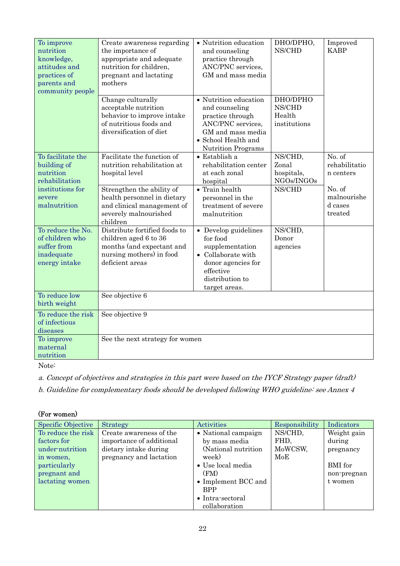| To improve<br>nutrition<br>knowledge,<br>attitudes and<br>practices of<br>parents and<br>community people | Create awareness regarding<br>the importance of<br>appropriate and adequate<br>nutrition for children,<br>pregnant and lactating<br>mothers | • Nutrition education<br>and counseling<br>practice through<br>ANC/PNC services,<br>GM and mass media                                                     | DHO/DPHO,<br>NS/CHD                          | Improved<br><b>KABP</b>                     |
|-----------------------------------------------------------------------------------------------------------|---------------------------------------------------------------------------------------------------------------------------------------------|-----------------------------------------------------------------------------------------------------------------------------------------------------------|----------------------------------------------|---------------------------------------------|
|                                                                                                           | Change culturally<br>acceptable nutrition<br>behavior to improve intake<br>of nutritious foods and<br>diversification of diet               | • Nutrition education<br>and counseling<br>practice through<br>ANC/PNC services,<br>GM and mass media<br>• School Health and<br><b>Nutrition Programs</b> | DHO/DPHO<br>NS/CHD<br>Health<br>institutions |                                             |
| To facilitate the<br>building of<br>nutrition<br>rehabilitation                                           | Facilitate the function of<br>nutrition rehabilitation at<br>hospital level                                                                 | $\bullet$ Establish a<br>rehabilitation center<br>at each zonal<br>hospital                                                                               | NS/CHD,<br>Zonal<br>hospitals,<br>NGOs/INGOs | No. of<br>rehabilitatio<br>n centers        |
| institutions for<br>severe<br>malnutrition                                                                | Strengthen the ability of<br>health personnel in dietary<br>and clinical management of<br>severely malnourished<br>children                 | $\bullet$ Train health<br>personnel in the<br>treatment of severe<br>malnutrition                                                                         | NS/CHD                                       | No. of<br>malnourishe<br>d cases<br>treated |
| To reduce the No.<br>of children who<br>suffer from<br>inadequate<br>energy intake                        | Distribute fortified foods to<br>children aged 6 to 36<br>months (and expectant and<br>nursing mothers) in food<br>deficient areas          | • Develop guidelines<br>for food<br>supplementation<br>• Collaborate with<br>donor agencies for<br>effective<br>distribution to<br>target areas.          | NS/CHD.<br>Donor<br>agencies                 |                                             |
| To reduce low<br>birth weight                                                                             | See objective 6                                                                                                                             |                                                                                                                                                           |                                              |                                             |
| To reduce the risk<br>of infectious<br>diseases                                                           | See objective 9                                                                                                                             |                                                                                                                                                           |                                              |                                             |
| To improve<br>maternal<br>nutrition                                                                       | See the next strategy for women                                                                                                             |                                                                                                                                                           |                                              |                                             |

Note:

a. Concept of objectives and strategies in this part were based on the IYCF Strategy paper (draft)

b. Guideline for complementary foods should be developed following WHO guideline: see Annex 4

#### (For women)

| Specific Objective | Strategy                 | Activities                  | Responsibility | Indicators  |
|--------------------|--------------------------|-----------------------------|----------------|-------------|
| To reduce the risk | Create awareness of the  | • National campaign         | NS/CHD,        | Weight gain |
| factors for        | importance of additional | by mass media               | FHD,           | during      |
| under-nutrition    | dietary intake during    | (National nutrition)        | MoWCSW,        | pregnancy   |
| in women,          | pregnancy and lactation  | week)                       | MoE            |             |
| particularly       |                          | • Use local media           |                | BMI for     |
| pregnant and       |                          | (FM)                        |                | non-pregnan |
| lactating women    |                          | $\bullet$ Implement BCC and |                | t women     |
|                    |                          | <b>BPP</b>                  |                |             |
|                    |                          | • Intra-sectoral            |                |             |
|                    |                          | collaboration               |                |             |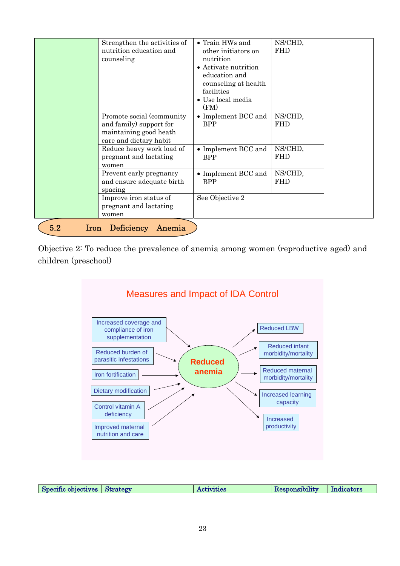|                    | Strengthen the activities of<br>nutrition education and<br>counseling                                     | • Train HWs and<br>other initiators on<br>nutrition<br>• Activate nutrition<br>education and<br>counseling at health<br>facilities<br>• Use local media<br>(FM) | NS/CHD,<br><b>FHD</b> |
|--------------------|-----------------------------------------------------------------------------------------------------------|-----------------------------------------------------------------------------------------------------------------------------------------------------------------|-----------------------|
|                    | Promote social (community)<br>and family) support for<br>maintaining good heath<br>care and dietary habit | • Implement BCC and<br><b>BPP</b>                                                                                                                               | NS/CHD,<br><b>FHD</b> |
|                    | Reduce heavy work load of<br>pregnant and lactating<br>women                                              | • Implement BCC and<br><b>BPP</b>                                                                                                                               | NS/CHD,<br><b>FHD</b> |
|                    | Prevent early pregnancy<br>and ensure adequate birth<br>spacing                                           | • Implement BCC and<br><b>BPP</b>                                                                                                                               | NS/CHD,<br><b>FHD</b> |
|                    | Improve iron status of<br>pregnant and lactating<br>women                                                 | See Objective 2                                                                                                                                                 |                       |
| 5.2<br><b>Iron</b> | <b>Deficiency</b><br>Anemia                                                                               |                                                                                                                                                                 |                       |

Objective 2: To reduce the prevalence of anemia among women (reproductive aged) and children (preschool)



| Specific objectives Strategy | Activities | Indicators<br>Responsibility |
|------------------------------|------------|------------------------------|
|------------------------------|------------|------------------------------|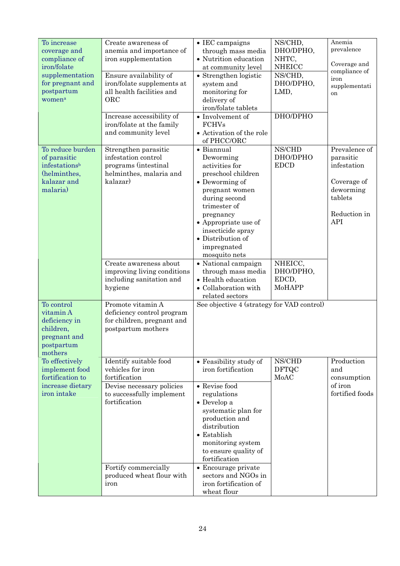| To increase<br>coverage and<br>compliance of<br>iron/folate<br>supplementation<br>for pregnant and<br>postpartum<br>women <sup>a</sup> | Create awareness of<br>anemia and importance of<br>iron supplementation<br>Ensure availability of<br>iron/folate supplements at<br>all health facilities and<br>ORC<br>Increase accessibility of<br>iron/folate at the family<br>and community level | $\bullet$ IEC campaigns<br>through mass media<br>• Nutrition education<br>at community level<br>• Strengthen logistic<br>system and<br>monitoring for<br>delivery of<br>iron/folate tablets<br>• Involvement of<br><b>FCHVs</b><br>• Activation of the role                                                                             | NS/CHD,<br>DHO/DPHO,<br>NHTC,<br><b>NHEICC</b><br>NS/CHD,<br>DHO/DPHO,<br>LMD,<br>DHO/DPHO | Anemia<br>prevalence<br>Coverage and<br>compliance of<br>iron<br>supplementati<br>on                           |
|----------------------------------------------------------------------------------------------------------------------------------------|------------------------------------------------------------------------------------------------------------------------------------------------------------------------------------------------------------------------------------------------------|-----------------------------------------------------------------------------------------------------------------------------------------------------------------------------------------------------------------------------------------------------------------------------------------------------------------------------------------|--------------------------------------------------------------------------------------------|----------------------------------------------------------------------------------------------------------------|
| To reduce burden<br>of parasitic<br>infestationsb<br>(helminthes,<br>kalazar and<br>malaria)                                           | Strengthen parasitic<br>infestation control<br>programs (intestinal<br>helminthes, malaria and<br>kalazar)<br>Create awareness about<br>improving living conditions                                                                                  | of PHCC/ORC<br>• Biannual<br>Deworming<br>activities for<br>preschool children<br>• Deworming of<br>pregnant women<br>during second<br>trimester of<br>pregnancy<br>$\bullet$ Appropriate use of<br>insecticide spray<br>• Distribution of<br>impregnated<br>mosquito nets<br>• National campaign<br>through mass media                 | NS/CHD<br>DHO/DPHO<br><b>EDCD</b><br>NHEICC,<br>DHO/DPHO,                                  | Prevalence of<br>parasitic<br>infestation<br>Coverage of<br>deworming<br>tablets<br>Reduction in<br><b>API</b> |
| To control<br>vitamin A<br>deficiency in<br>children,<br>pregnant and<br>postpartum<br>mothers                                         | including sanitation and<br>hygiene<br>Promote vitamin A<br>deficiency control program<br>for children, pregnant and<br>postpartum mothers                                                                                                           | • Health education<br>• Collaboration with<br>related sectors<br>See objective 4 (strategy for VAD control)                                                                                                                                                                                                                             | EDCD,<br><b>MoHAPP</b>                                                                     |                                                                                                                |
| To effectively<br>implement food<br>fortification to<br>increase dietary<br>iron intake                                                | Identify suitable food<br>vehicles for iron<br>fortification<br>Devise necessary policies<br>to successfully implement<br>fortification<br>Fortify commercially<br>produced wheat flour with<br>iron                                                 | $\bullet$ Feasibility study of<br>iron fortification<br>• Revise food<br>regulations<br>$\bullet$ Develop a<br>systematic plan for<br>production and<br>distribution<br>• Establish<br>monitoring system<br>to ensure quality of<br>fortification<br>• Encourage private<br>sectors and NGOs in<br>iron fortification of<br>wheat flour | NS/CHD<br><b>DFTQC</b><br>MoAC                                                             | Production<br>and<br>consumption<br>of iron<br>fortified foods                                                 |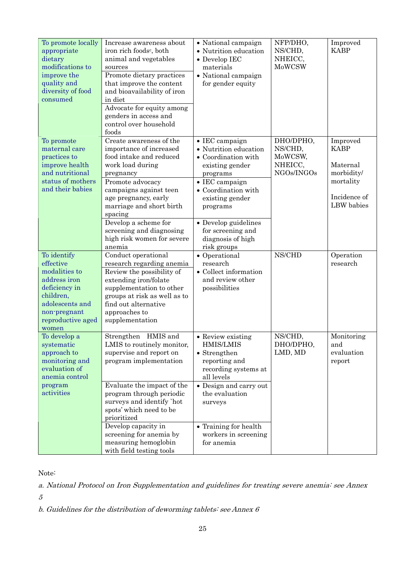| To promote locally<br>appropriate<br>dietary<br>modifications to<br>improve the<br>quality and<br>diversity of food<br>consumed                          | Increase awareness about<br>iron rich foods <sup>c</sup> , both<br>animal and vegetables<br>sources<br>Promote dietary practices<br>that improve the content<br>and bioavailability of iron<br>in diet<br>Advocate for equity among<br>genders in access and<br>control over household<br>foods | • National campaign<br>• Nutrition education<br>$\bullet$ Develop IEC<br>materials<br>• National campaign<br>for gender equity                                                                | NFP/DHO,<br>NS/CHD,<br>NHEICC,<br>MoWCSW                 | Improved<br><b>KABP</b>                                                                      |
|----------------------------------------------------------------------------------------------------------------------------------------------------------|-------------------------------------------------------------------------------------------------------------------------------------------------------------------------------------------------------------------------------------------------------------------------------------------------|-----------------------------------------------------------------------------------------------------------------------------------------------------------------------------------------------|----------------------------------------------------------|----------------------------------------------------------------------------------------------|
| To promote<br>maternal care<br>practices to<br>improve health<br>and nutritional<br>status of mothers<br>and their babies                                | Create awareness of the<br>importance of increased<br>food intake and reduced<br>work load during<br>pregnancy<br>Promote advocacy<br>campaigns against teen<br>age pregnancy, early<br>marriage and short birth<br>spacing                                                                     | $\bullet$ IEC campaign<br>• Nutrition education<br>$\bullet$ Coordination with<br>existing gender<br>programs<br>$\bullet$ IEC campaign<br>• Coordination with<br>existing gender<br>programs | DHO/DPHO,<br>NS/CHD,<br>MoWCSW,<br>NHEICC,<br>NGOs/INGOs | Improved<br><b>KABP</b><br>Maternal<br>morbidity/<br>mortality<br>Incidence of<br>LBW babies |
|                                                                                                                                                          | Develop a scheme for<br>screening and diagnosing<br>high risk women for severe<br>anemia                                                                                                                                                                                                        | • Develop guidelines<br>for screening and<br>diagnosis of high<br>risk groups                                                                                                                 |                                                          |                                                                                              |
| To identify<br>effective<br>modalities to<br>address iron<br>deficiency in<br>children,<br>adolescents and<br>non-pregnant<br>reproductive aged<br>women | Conduct operational<br>research regarding anemia<br>Review the possibility of<br>extending iron/folate<br>supplementation to other<br>groups at risk as well as to<br>find out alternative<br>approaches to<br>supplementation                                                                  | • Operational<br>research<br>$\bullet$ Collect information<br>and review other<br>possibilities                                                                                               | NS/CHD                                                   | Operation<br>research                                                                        |
| To develop a<br>systematic<br>approach to<br>monitoring and<br>evaluation of<br>anemia control                                                           | Strengthen HMIS and<br>LMIS to routinely monitor,<br>supervise and report on<br>program implementation<br>Evaluate the impact of the                                                                                                                                                            | • Review existing<br><b>HMIS/LMIS</b><br>• Strengthen<br>reporting and<br>recording systems at<br>all levels<br>• Design and carry out                                                        | NS/CHD,<br>DHO/DPHO,<br>LMD, MD                          | Monitoring<br>and<br>evaluation<br>report                                                    |
| program<br>activities                                                                                                                                    | program through periodic<br>surveys and identify `hot<br>spots' which need to be<br>prioritized<br>Develop capacity in<br>screening for anemia by<br>measuring hemoglobin<br>with field testing tools                                                                                           | the evaluation<br>surveys<br>• Training for health<br>workers in screening<br>for anemia                                                                                                      |                                                          |                                                                                              |

Note:

a. National Protocol on Iron Supplementation and guidelines for treating severe anemia: see Annex

5

b. Guidelines for the distribution of deworming tablets: see Annex  $6$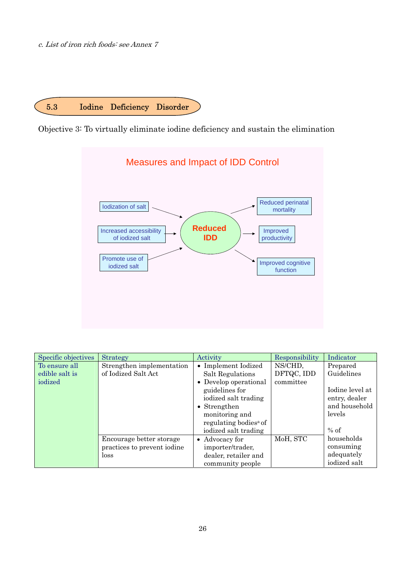c. List of iron rich foods: see Annex 7



Objective 3: To virtually eliminate iodine deficiency and sustain the elimination



| Specific objectives | Strategy                    | Activity                          | Responsibility | Indicator       |
|---------------------|-----------------------------|-----------------------------------|----------------|-----------------|
| To ensure all       | Strengthen implementation   | • Implement Iodized               | NS/CHD,        | Prepared        |
| edible salt is      | of Iodized Salt Act         | Salt Regulations                  | DFTQC, IDD     | Guidelines      |
| iodized             |                             | • Develop operational             | committee      |                 |
|                     |                             | guidelines for                    |                | Iodine level at |
|                     |                             | iodized salt trading              |                | entry, dealer   |
|                     |                             | • Strengthen                      |                | and household   |
|                     |                             | monitoring and                    |                | levels          |
|                     |                             | regulating bodies <sup>a</sup> of |                |                 |
|                     |                             | iodized salt trading              |                | $%$ of          |
|                     | Encourage better storage    | • Advocacy for                    | MoH, STC       | households      |
|                     | practices to prevent iodine | importer/trader,                  |                | consuming       |
|                     | loss                        | dealer, retailer and              |                | adequately      |
|                     |                             | community people                  |                | iodized salt    |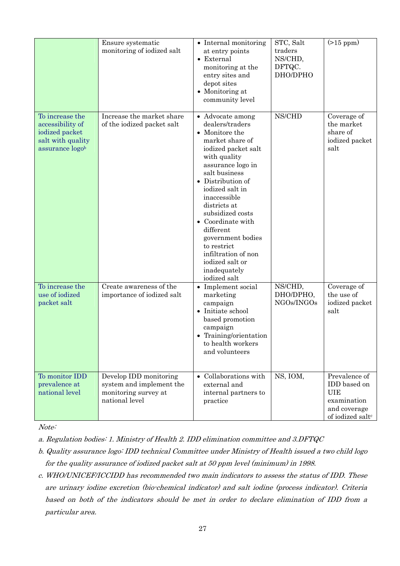|                                                                                               | Ensure systematic<br>monitoring of iodized salt                                              | • Internal monitoring<br>at entry points<br>$\bullet$ External<br>monitoring at the<br>entry sites and<br>depot sites<br>• Monitoring at<br>community level                                                                                                                                                                                                                                     | STC, Salt<br>traders<br>NS/CHD,<br>DFTQC.<br>DHO/DPHO | $(>15$ ppm $)$                                                                                             |
|-----------------------------------------------------------------------------------------------|----------------------------------------------------------------------------------------------|-------------------------------------------------------------------------------------------------------------------------------------------------------------------------------------------------------------------------------------------------------------------------------------------------------------------------------------------------------------------------------------------------|-------------------------------------------------------|------------------------------------------------------------------------------------------------------------|
| To increase the<br>accessibility of<br>iodized packet<br>salt with quality<br>assurance logob | Increase the market share<br>of the iodized packet salt                                      | • Advocate among<br>dealers/traders<br>• Monitore the<br>market share of<br>iodized packet salt<br>with quality<br>assurance logo in<br>salt business<br>Distribution of<br>iodized salt in<br>inaccessible<br>districts at<br>subsidized costs<br>• Coordinate with<br>different<br>government bodies<br>to restrict<br>infiltration of non<br>iodized salt or<br>inadequately<br>iodized salt | NS/CHD                                                | Coverage of<br>the market<br>share of<br>iodized packet<br>salt                                            |
| To increase the<br>use of iodized<br>packet salt                                              | Create awareness of the<br>importance of iodized salt                                        | • Implement social<br>marketing<br>campaign<br>$\bullet$ Initiate school<br>based promotion<br>campaign<br>Training/orientation<br>to health workers<br>and volunteers                                                                                                                                                                                                                          | NS/CHD,<br>DHO/DPHO,<br>NGOs/INGOs                    | Coverage of<br>the use of<br>iodized packet<br>salt                                                        |
| To monitor IDD<br>prevalence at<br>national level                                             | Develop IDD monitoring<br>system and implement the<br>monitoring survey at<br>national level | • Collaborations with<br>external and<br>internal partners to<br>practice                                                                                                                                                                                                                                                                                                                       | NS, IOM,                                              | Prevalence of<br>IDD based on<br><b>UIE</b><br>examination<br>and coverage<br>of iodized salt <sup>c</sup> |

Note:

a. Regulation bodies: 1. Ministry of Health 2. IDD elimination committee and 3.DFTQC

- b. Quality assurance logo: IDD technical Committee under Ministry of Health issued a two child logo for the quality assurance of iodized packet salt at 50 ppm level (minimum) in 1998.
- c. WHO/UNICEF/ICCIDD has recommended two main indicators to assess the status of IDD. These are urinary iodine excretion (bio-chemical indicator) and salt iodine (process indicator). Criteria based on both of the indicators should be met in order to declare elimination of IDD from a particular area.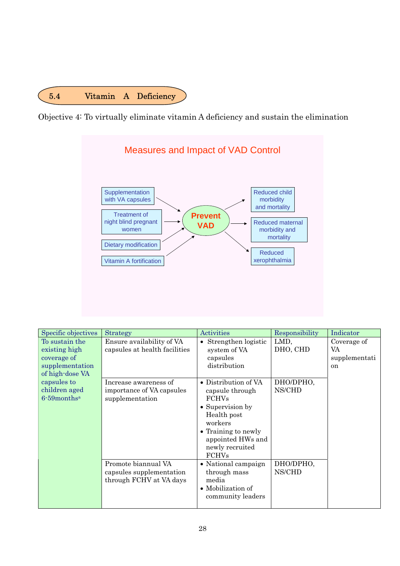

Objective 4: To virtually eliminate vitamin A deficiency and sustain the elimination



| Specific objectives          | Strategy                                            | <b>Activities</b>     | Responsibility      | Indicator     |
|------------------------------|-----------------------------------------------------|-----------------------|---------------------|---------------|
| To sustain the               | Ensure availability of VA                           | Strengthen logistic   | LMD,                | Coverage of   |
| existing high                | capsules at health facilities                       | system of VA          | DHO, CHD            | VA            |
| coverage of                  |                                                     | capsules              |                     | supplementati |
| supplementation              |                                                     | distribution          |                     | <sub>on</sub> |
| of high-dose VA              |                                                     |                       |                     |               |
| capsules to                  | Increase awareness of                               | • Distribution of VA  | DHO/DPHO,           |               |
| children aged                | importance of VA capsules                           | capsule through       | NS/CHD              |               |
| $6 - 59$ months <sup>a</sup> | supplementation                                     | <b>FCHVs</b>          |                     |               |
|                              |                                                     | • Supervision by      |                     |               |
|                              |                                                     | Health post           |                     |               |
|                              |                                                     | workers               |                     |               |
|                              |                                                     | • Training to newly   |                     |               |
|                              |                                                     | appointed HWs and     |                     |               |
|                              |                                                     | newly recruited       |                     |               |
|                              | Promote biannual VA                                 | <b>FCHVs</b>          |                     |               |
|                              |                                                     | • National campaign   | DHO/DPHO,<br>NS/CHD |               |
|                              | capsules supplementation<br>through FCHV at VA days | through mass<br>media |                     |               |
|                              |                                                     | • Mobilization of     |                     |               |
|                              |                                                     | community leaders     |                     |               |
|                              |                                                     |                       |                     |               |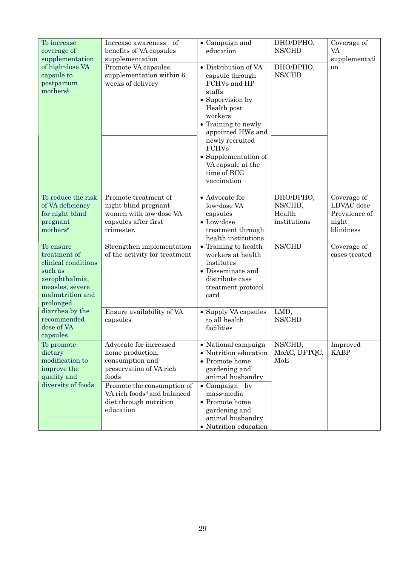| To increase                       | of<br>Increase awareness                                              | • Campaign and                  | DHO/DPHO,           | Coverage of   |
|-----------------------------------|-----------------------------------------------------------------------|---------------------------------|---------------------|---------------|
| coverage of                       | benefits of VA capsules                                               | education                       | NS/CHD              | VA            |
| supplementation                   | supplementation                                                       | • Distribution of VA            |                     | supplementati |
| of high-dose VA<br>capsule to     | Promote VA capsules<br>supplementation within 6                       |                                 | DHO/DPHO,<br>NS/CHD | on            |
| postpartum                        | weeks of delivery                                                     | capsule through<br>FCHVs and HP |                     |               |
| mothersb                          |                                                                       | staffs                          |                     |               |
|                                   |                                                                       | • Supervision by                |                     |               |
|                                   |                                                                       | Health post                     |                     |               |
|                                   |                                                                       | workers                         |                     |               |
|                                   |                                                                       | • Training to newly             |                     |               |
|                                   |                                                                       | appointed HWs and               |                     |               |
|                                   |                                                                       | newly recruited                 |                     |               |
|                                   |                                                                       | <b>FCHVs</b>                    |                     |               |
|                                   |                                                                       | • Supplementation of            |                     |               |
|                                   |                                                                       | VA capsule at the               |                     |               |
|                                   |                                                                       | time of BCG                     |                     |               |
|                                   |                                                                       | vaccination                     |                     |               |
| To reduce the risk                | Promote treatment of                                                  | $\bullet$ Advocate for          | DHO/DPHO,           | Coverage of   |
| of VA deficiency                  | night-blind pregnant                                                  | low-dose VA                     | NS/CHD,             | LDVAC dose    |
| for night blind                   | women with low-dose VA                                                | capsules                        | Health              | Prevalence of |
| pregnant                          | capsules after first                                                  | $\bullet$ Low-dose              | institutions        | night         |
| mothers <sup>c</sup>              | trimester.                                                            | treatment through               |                     | blindness     |
|                                   |                                                                       | health institutions             |                     |               |
| To ensure                         | Strengthen implementation                                             | • Training to health            | NS/CHD              | Coverage of   |
| treatment of                      | of the activity for treatment                                         | workers at health               |                     | cases treated |
| clinical conditions               |                                                                       | institutes                      |                     |               |
| such as                           |                                                                       | • Disseminate and               |                     |               |
| xerophthalmia,<br>measles, severe |                                                                       | distribute case                 |                     |               |
| malnutrition and                  |                                                                       | treatment protocol<br>card      |                     |               |
| prolonged                         |                                                                       |                                 |                     |               |
| diarrhea by the                   | Ensure availability of VA                                             | • Supply VA capsules            | LMD,                |               |
| recommended                       | capsules                                                              | to all health                   | NS/CHD              |               |
| dose of VA                        |                                                                       | facilities                      |                     |               |
| capsules                          |                                                                       |                                 |                     |               |
| To promote                        | Advocate for increased                                                | • National campaign             | NS/CHD,             | Improved      |
| dietary                           | home production,                                                      | • Nutrition education           | MoAC, DFTQC,        | <b>KABP</b>   |
| modification to                   | consumption and                                                       | • Promote home                  | MoE                 |               |
| improve the                       | preservation of VA rich                                               | gardening and                   |                     |               |
| quality and                       | foods                                                                 | animal husbandry                |                     |               |
| diversity of foods                | Promote the consumption of<br>VA rich foods <sup>d</sup> and balanced | • Campaign by<br>mass-media     |                     |               |
|                                   | diet through nutrition                                                | • Promote home                  |                     |               |
|                                   | education                                                             | gardening and                   |                     |               |
|                                   |                                                                       | animal husbandry                |                     |               |
|                                   |                                                                       | $\bullet$ Nutrition education   |                     |               |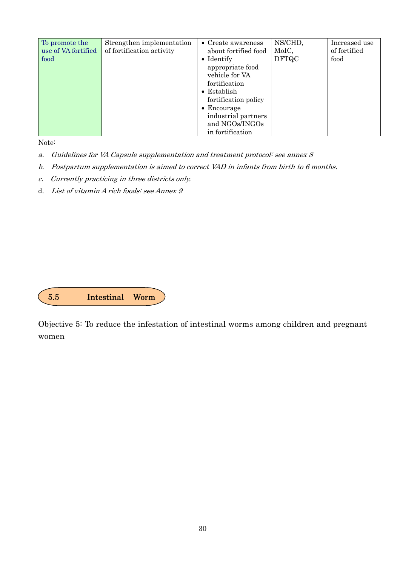| To promote the<br>use of VA fortified<br>food | Strengthen implementation<br>of fortification activity | $\bullet$ Create awareness<br>about fortified food<br>$\bullet$ Identify<br>appropriate food<br>vehicle for VA<br>fortification<br>$\bullet$ Establish<br>fortification policy | NS/CHD,<br>MoIC,<br><b>DFTQC</b> | Increased use<br>of fortified<br>food |
|-----------------------------------------------|--------------------------------------------------------|--------------------------------------------------------------------------------------------------------------------------------------------------------------------------------|----------------------------------|---------------------------------------|
|                                               |                                                        | $\bullet$ Encourage<br>industrial partners<br>and NGOs/INGOs<br>in fortification                                                                                               |                                  |                                       |

Note:

- a. Guidelines for VA Capsule supplementation and treatment protocol: see annex 8
- b. Postpartum supplementation is aimed to correct VAD in infants from birth to 6 months.
- c. Currently practicing in three districts only.
- d. List of vitamin A rich foods: see Annex 9

| ה ה | Intestinal Worm |  |
|-----|-----------------|--|
|     |                 |  |

Objective 5: To reduce the infestation of intestinal worms among children and pregnant women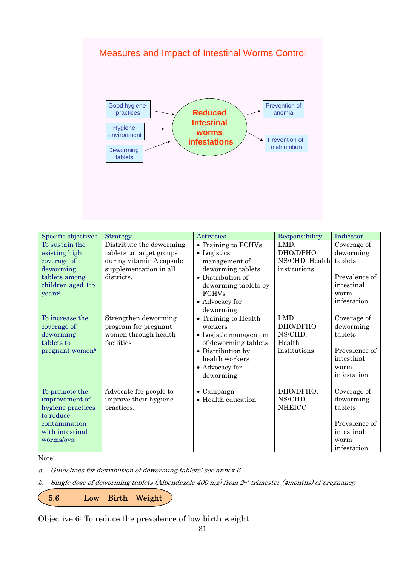# Measures and Impact of Intestinal Worms Control



| Specific objectives                                                                                                       | <b>Strategy</b>                                                                                                          | <b>Activities</b>                                                                                                                                                            | Responsibility                                        | Indicator                                                                                 |
|---------------------------------------------------------------------------------------------------------------------------|--------------------------------------------------------------------------------------------------------------------------|------------------------------------------------------------------------------------------------------------------------------------------------------------------------------|-------------------------------------------------------|-------------------------------------------------------------------------------------------|
| To sustain the<br>existing high<br>coverage of<br>deworming<br>tablets among<br>children aged 1-5<br>years <sup>a</sup> . | Distribute the deworming<br>tablets to target groups<br>during vitamin A capsule<br>supplementation in all<br>districts. | • Training to FCHVs<br>$\bullet$ Logistics<br>management of<br>deworming tablets<br>• Distribution of<br>deworming tablets by<br><b>FCHVs</b><br>• Advocacy for<br>deworming | LMD,<br>DHO/DPHO<br>NS/CHD, Health<br>institutions    | Coverage of<br>deworming<br>tablets<br>Prevalence of<br>intestinal<br>worm<br>infestation |
| To increase the<br>coverage of<br>deworming<br>tablets to<br>pregnant women <sup>b</sup>                                  | Strengthen deworming<br>program for pregnant<br>women through health<br>facilities                                       | • Training to Health<br>workers<br>• Logistic management<br>of deworming tablets<br>• Distribution by<br>health workers<br>• Advocacy for<br>deworming                       | LMD,<br>DHO/DPHO<br>NS/CHD,<br>Health<br>institutions | Coverage of<br>deworming<br>tablets<br>Prevalence of<br>intestinal<br>worm<br>infestation |
| To promote the<br>improvement of<br>hygiene practices<br>to reduce<br>contamination<br>with intestinal<br>worms/ova       | Advocate for people to<br>improve their hygiene<br>practices.                                                            | $\bullet$ Campaign<br>• Health education                                                                                                                                     | DHO/DPHO,<br>NS/CHD,<br><b>NHEICC</b>                 | Coverage of<br>deworming<br>tablets<br>Prevalence of<br>intestinal<br>worm<br>infestation |

Note:

a. Guidelines for distribution of deworming tablets: see annex 6

b. Single dose of deworming tablets (Albendazole 400 mg) from  $2<sup>nd</sup>$  trimester (4months) of pregnancy.

5.6 Low Birth Weight

Objective 6: To reduce the prevalence of low birth weight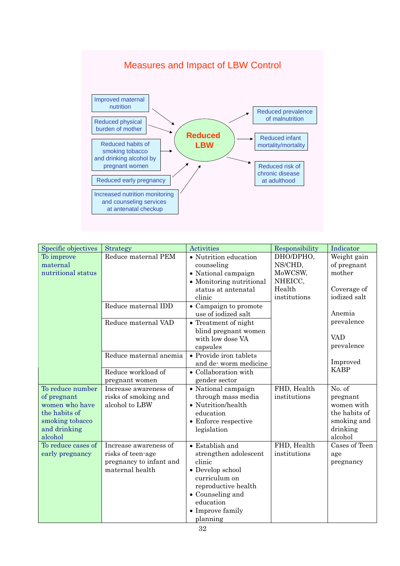

| Specific objectives                                                                                              | Strategy                                                                                 | Activities                                                                                                                                                                      | Responsibility                             | Indicator                                                                               |
|------------------------------------------------------------------------------------------------------------------|------------------------------------------------------------------------------------------|---------------------------------------------------------------------------------------------------------------------------------------------------------------------------------|--------------------------------------------|-----------------------------------------------------------------------------------------|
| To improve<br>maternal<br>nutritional status                                                                     | Reduce maternal PEM                                                                      | • Nutrition education<br>counseling<br>• National campaign<br>• Monitoring nutritional                                                                                          | DHO/DPHO,<br>NS/CHD,<br>MoWCSW,<br>NHEICC, | Weight gain<br>of pregnant<br>mother                                                    |
|                                                                                                                  |                                                                                          | status at antenatal<br>clinic                                                                                                                                                   | Health<br>institutions                     | Coverage of<br>iodized salt                                                             |
|                                                                                                                  | Reduce maternal IDD                                                                      | • Campaign to promote<br>use of iodized salt                                                                                                                                    |                                            | Anemia                                                                                  |
|                                                                                                                  | Reduce maternal VAD                                                                      | • Treatment of night<br>blind pregnant women                                                                                                                                    |                                            | prevalence                                                                              |
|                                                                                                                  |                                                                                          | with low dose VA<br>capsules                                                                                                                                                    |                                            | <b>VAD</b><br>prevalence                                                                |
|                                                                                                                  | Reduce maternal anemia                                                                   | • Provide iron tablets<br>and de-worm medicine                                                                                                                                  |                                            | Improved                                                                                |
|                                                                                                                  | Reduce workload of<br>pregnant women                                                     | • Collaboration with<br>gender sector                                                                                                                                           |                                            | <b>KABP</b>                                                                             |
| To reduce number<br>of pregnant<br>women who have<br>the habits of<br>smoking tobacco<br>and drinking<br>alcohol | Increase awareness of<br>risks of smoking and<br>alcohol to LBW                          | • National campaign<br>through mass media<br>• Nutrition/health<br>education<br>$\bullet\,$ Enforce respective<br>legislation                                                   | FHD, Health<br>institutions                | No. of<br>pregnant<br>women with<br>the habits of<br>smoking and<br>drinking<br>alcohol |
| To reduce cases of<br>early pregnancy                                                                            | Increase awareness of<br>risks of teen-age<br>pregnancy to infant and<br>maternal health | • Establish and<br>strengthen adolescent<br>clinic<br>• Develop school<br>curriculum on<br>reproductive health<br>• Counseling and<br>education<br>• Improve family<br>planning | FHD, Health<br>institutions                | Cases of Teen<br>age<br>pregnancy                                                       |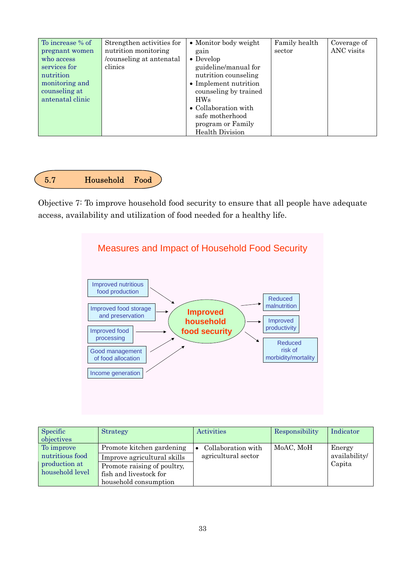

Objective 7: To improve household food security to ensure that all people have adequate access, availability and utilization of food needed for a healthy life.



| Specific        | <b>Strategy</b>             | Activities          | Responsibility | Indicator     |
|-----------------|-----------------------------|---------------------|----------------|---------------|
| objectives      |                             |                     |                |               |
| To improve      | Promote kitchen gardening   | Collaboration with  | MoAC, MoH      | Energy        |
| nutritious food | Improve agricultural skills | agricultural sector |                | availability/ |
| production at   | Promote raising of poultry, |                     |                | Capita        |
| household level | fish and livestock for      |                     |                |               |
|                 | household consumption       |                     |                |               |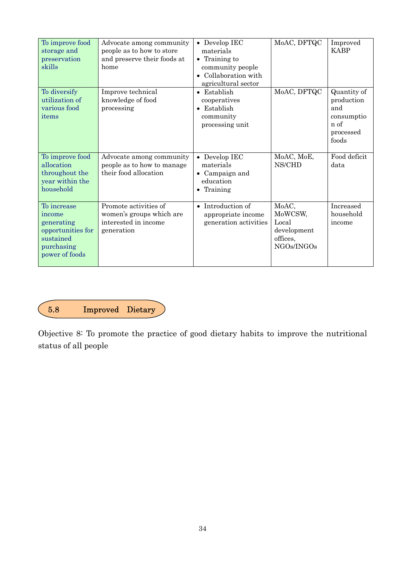| To improve food<br>storage and<br>preservation<br>skills                                              | Advocate among community<br>people as to how to store<br>and preserve their foods at<br>home | • Develop IEC<br>materials<br>$\bullet$ Training to<br>community people<br>• Collaboration with<br>agricultural sector | MoAC, DFTQC                                                        | Improved<br><b>KABP</b>                                                      |
|-------------------------------------------------------------------------------------------------------|----------------------------------------------------------------------------------------------|------------------------------------------------------------------------------------------------------------------------|--------------------------------------------------------------------|------------------------------------------------------------------------------|
| To diversify<br>utilization of<br>various food<br>items                                               | Improve technical<br>knowledge of food<br>processing                                         | $\bullet$ Establish<br>cooperatives<br>• Establish<br>community<br>processing unit                                     | MoAC, DFTQC                                                        | Quantity of<br>production<br>and<br>consumptio<br>n of<br>processed<br>foods |
| To improve food<br>allocation<br>throughout the<br>year within the<br>household                       | Advocate among community<br>people as to how to manage<br>their food allocation              | $\bullet$ Develop IEC<br>materials<br>• Campaign and<br>education<br>Training                                          | MoAC, MoE,<br>NS/CHD                                               | Food deficit<br>data                                                         |
| To increase<br>income<br>generating<br>opportunities for<br>sustained<br>purchasing<br>power of foods | Promote activities of<br>women's groups which are<br>interested in income<br>generation      | • Introduction of<br>appropriate income<br>generation activities                                                       | MoAC,<br>MoWCSW,<br>Local<br>development<br>offices,<br>NGOs/INGOs | Increased<br>household<br>income                                             |



Objective 8: To promote the practice of good dietary habits to improve the nutritional status of all people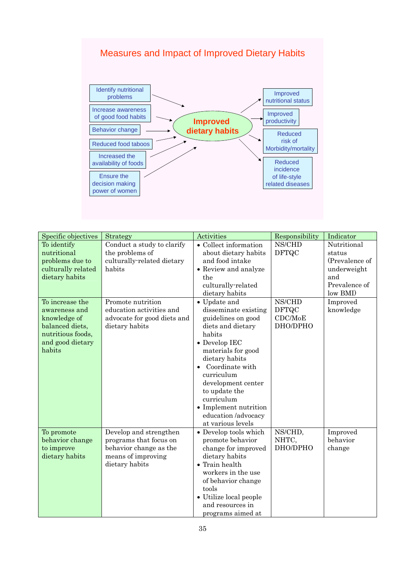



| Specific objectives                                                                                                                                                                                             | Strategy                                                                                                                                                                                | Activities                                                                                                                                                                                                                                                                                                                                                                                                                                          | Responsibility                                                          |                                                                                                                                 |
|-----------------------------------------------------------------------------------------------------------------------------------------------------------------------------------------------------------------|-----------------------------------------------------------------------------------------------------------------------------------------------------------------------------------------|-----------------------------------------------------------------------------------------------------------------------------------------------------------------------------------------------------------------------------------------------------------------------------------------------------------------------------------------------------------------------------------------------------------------------------------------------------|-------------------------------------------------------------------------|---------------------------------------------------------------------------------------------------------------------------------|
| To identify<br>nutritional<br>problems due to<br>culturally related<br>dietary habits<br>To increase the<br>awareness and<br>knowledge of<br>balanced diets,<br>nutritious foods,<br>and good dietary<br>habits | Conduct a study to clarify<br>the problems of<br>culturally-related dietary<br>habits<br>Promote nutrition<br>education activities and<br>advocate for good diets and<br>dietary habits | • Collect information<br>about dietary habits<br>and food intake<br>• Review and analyze<br>the<br>culturally-related<br>dietary habits<br>$\bullet$ Update and<br>disseminate existing<br>guidelines on good<br>diets and dietary<br>habits<br>$\bullet$ Develop IEC<br>materials for good<br>dietary habits<br>Coordinate with<br>curriculum<br>development center<br>to update the<br>curriculum<br>• Implement nutrition<br>education /advocacy | NS/CHD<br><b>DFTQC</b><br>NS/CHD<br><b>DFTQC</b><br>CDC/MoE<br>DHO/DPHO | Indicator<br>Nutritional<br>status<br>(Prevalence of<br>underweight<br>and<br>Prevalence of<br>low BMI<br>Improved<br>knowledge |
| To promote<br>behavior change<br>to improve<br>dietary habits                                                                                                                                                   | Develop and strengthen<br>programs that focus on<br>behavior change as the<br>means of improving<br>dietary habits                                                                      | at various levels<br>• Develop tools which<br>promote behavior<br>change for improved<br>dietary habits<br>$\bullet$ Train health<br>workers in the use<br>of behavior change<br>tools<br>• Utilize local people<br>and resources in<br>programs aimed at                                                                                                                                                                                           | NS/CHD,<br>NHTC,<br>DHO/DPHO                                            | Improved<br>behavior<br>change                                                                                                  |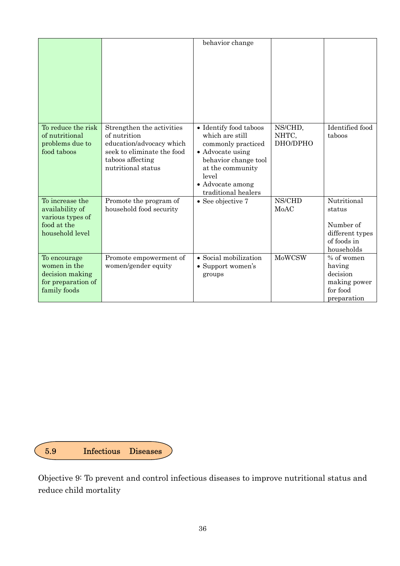|                                                                                          |                                                                                                                                               | behavior change                                                                                                                                                                     |                              |                                                                                    |
|------------------------------------------------------------------------------------------|-----------------------------------------------------------------------------------------------------------------------------------------------|-------------------------------------------------------------------------------------------------------------------------------------------------------------------------------------|------------------------------|------------------------------------------------------------------------------------|
| To reduce the risk<br>of nutritional<br>problems due to<br>food taboos                   | Strengthen the activities<br>of nutrition<br>education/advocacy which<br>seek to eliminate the food<br>taboos affecting<br>nutritional status | • Identify food taboos<br>which are still<br>commonly practiced<br>• Advocate using<br>behavior change tool<br>at the community<br>level<br>• Advocate among<br>traditional healers | NS/CHD,<br>NHTC,<br>DHO/DPHO | Identified food<br>taboos                                                          |
| To increase the<br>availability of<br>various types of<br>food at the<br>household level | Promote the program of<br>household food security                                                                                             | $\bullet$ See objective 7                                                                                                                                                           | NS/CHD<br>MoAC               | Nutritional<br>status<br>Number of<br>different types<br>of foods in<br>households |
| To encourage<br>women in the<br>decision making<br>for preparation of<br>family foods    | Promote empowerment of<br>women/gender equity                                                                                                 | • Social mobilization<br>• Support women's<br>groups                                                                                                                                | <b>MoWCSW</b>                | % of women<br>having<br>decision<br>making power<br>for food<br>preparation        |



Objective 9: To prevent and control infectious diseases to improve nutritional status and reduce child mortality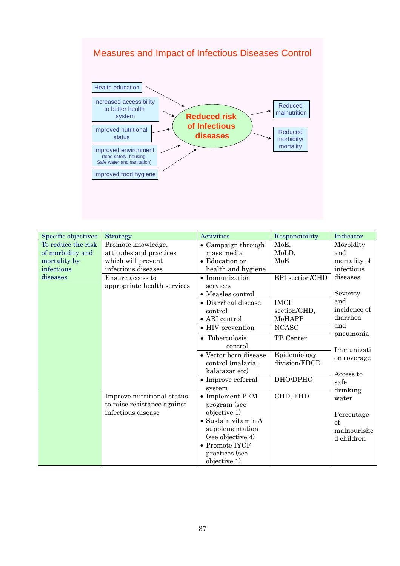# Measures and Impact of Infectious Diseases Control



| Specific objectives | <b>Strategy</b>             | <b>Activities</b>           | Responsibility  | Indicator    |
|---------------------|-----------------------------|-----------------------------|-----------------|--------------|
| To reduce the risk  | Promote knowledge,          | • Campaign through          | MoE,            | Morbidity    |
| of morbidity and    | attitudes and practices     | mass media                  | MoLD,           | and          |
| mortality by        | which will prevent          | • Education on              | MoE             | mortality of |
| infectious          | infectious diseases         | health and hygiene          |                 | infectious   |
| diseases            | Ensure access to            | • Immunization              | EPI section/CHD | diseases     |
|                     | appropriate health services | services                    |                 |              |
|                     |                             | • Measles control           |                 | Severity     |
|                     |                             | • Diarrheal disease         | <b>IMCI</b>     | and          |
|                     |                             | control                     | section/CHD,    | incidence of |
|                     |                             | $\bullet$ ARI control       | MoHAPP          | diarrhea     |
|                     |                             | • HIV prevention            | <b>NCASC</b>    | and          |
|                     |                             | • Tuberculosis              | TB Center       | pneumonia    |
|                     |                             | control                     |                 | Immunizati   |
|                     |                             | • Vector born disease       | Epidemiology    | on coverage  |
|                     |                             | control (malaria,           | division/EDCD   |              |
|                     |                             | kala-azar etc)              |                 | Access to    |
|                     |                             | • Improve referral          | DHO/DPHO        | safe         |
|                     |                             | system                      |                 | drinking     |
|                     | Improve nutritional status  | • Implement PEM             | CHD, FHD        | water        |
|                     | to raise resistance against | program (see                |                 |              |
|                     | infectious disease          | objective 1)                |                 | Percentage   |
|                     |                             | $\bullet$ Sustain vitamin A |                 | of           |
|                     |                             | supplementation             |                 | malnourishe  |
|                     |                             | (see objective 4)           |                 | d children   |
|                     |                             | $\bullet$ Promote IYCF      |                 |              |
|                     |                             | practices (see              |                 |              |
|                     |                             | objective 1)                |                 |              |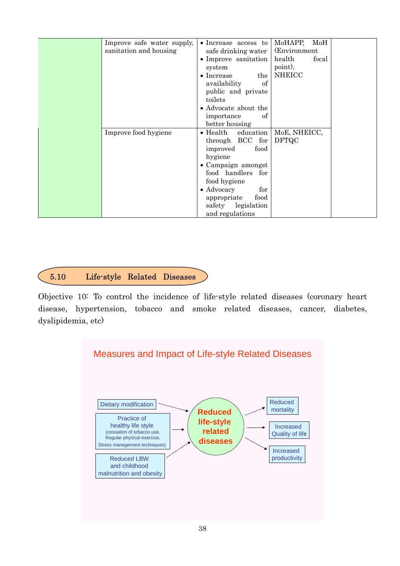| Improve safe water supply, | • Increase access to          | MoHAPP,<br>MoH  |
|----------------------------|-------------------------------|-----------------|
| sanitation and housing     | safe drinking water           | (Environment)   |
|                            | • Improve sanitation          | health<br>focal |
|                            | system                        | point),         |
|                            |                               | <b>NHEICC</b>   |
|                            | $\bullet$ Increase<br>the     |                 |
|                            | availability<br>of            |                 |
|                            | public and private            |                 |
|                            | toilets                       |                 |
|                            | • Advocate about the          |                 |
|                            | importance<br>οf              |                 |
|                            | better housing                |                 |
| Improve food hygiene       | $\bullet$ Health<br>education | MoE, NHEICC,    |
|                            | through BCC<br>${\rm for}$    | <b>DFTQC</b>    |
|                            | food<br>improved              |                 |
|                            | hygiene                       |                 |
|                            |                               |                 |
|                            | • Campaign amongst            |                 |
|                            | food handlers for             |                 |
|                            | food hygiene                  |                 |
|                            | • Advocacy<br>for             |                 |
|                            | food<br>appropriate           |                 |
|                            | safety legislation            |                 |
|                            | and regulations               |                 |

# 5.10 Life-style Related Diseases

Objective 10: To control the incidence of life-style related diseases (coronary heart disease, hypertension, tobacco and smoke related diseases, cancer, diabetes, dyslipidemia, etc)

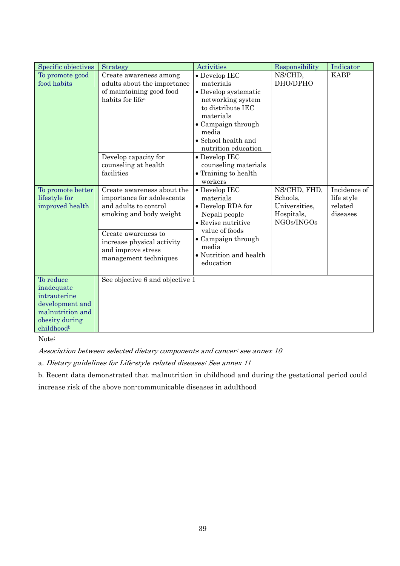| Specific objectives                                                                                            | <b>Strategy</b>                                                                                                   | <b>Activities</b>                                                                                                                                                                                             | Responsibility                                                        | Indicator                                         |
|----------------------------------------------------------------------------------------------------------------|-------------------------------------------------------------------------------------------------------------------|---------------------------------------------------------------------------------------------------------------------------------------------------------------------------------------------------------------|-----------------------------------------------------------------------|---------------------------------------------------|
| To promote good<br>food habits                                                                                 | Create awareness among<br>adults about the importance<br>of maintaining good food<br>habits for life <sup>a</sup> | • Develop IEC<br>NS/CHD,<br>DHO/DPHO<br>materials<br>• Develop systematic<br>networking system<br>to distribute IEC<br>materials<br>• Campaign through<br>media<br>• School health and<br>nutrition education |                                                                       | <b>KABP</b>                                       |
|                                                                                                                | Develop capacity for<br>counseling at health<br>facilities                                                        | • Develop IEC<br>counseling materials<br>• Training to health<br>workers                                                                                                                                      |                                                                       |                                                   |
| To promote better<br>lifestyle for<br>improved health                                                          | Create awareness about the<br>importance for adolescents<br>and adults to control<br>smoking and body weight      | • Develop IEC<br>materials<br>• Develop RDA for<br>Nepali people<br>• Revise nutritive                                                                                                                        | NS/CHD, FHD,<br>Schools,<br>Universities,<br>Hospitals,<br>NGOs/INGOs | Incidence of<br>life style<br>related<br>diseases |
|                                                                                                                | Create awareness to<br>increase physical activity<br>and improve stress<br>management techniques                  | value of foods<br>• Campaign through<br>media<br>• Nutrition and health<br>education                                                                                                                          |                                                                       |                                                   |
| To reduce<br>inadequate<br>intrauterine<br>development and<br>malnutrition and<br>obesity during<br>childhoodb | See objective 6 and objective 1                                                                                   |                                                                                                                                                                                                               |                                                                       |                                                   |

Note:

Association between selected dietary components and cancer: see annex 10

a. Dietary guidelines for Life-style related diseases: See annex 11

b. Recent data demonstrated that malnutrition in childhood and during the gestational period could increase risk of the above non-communicable diseases in adulthood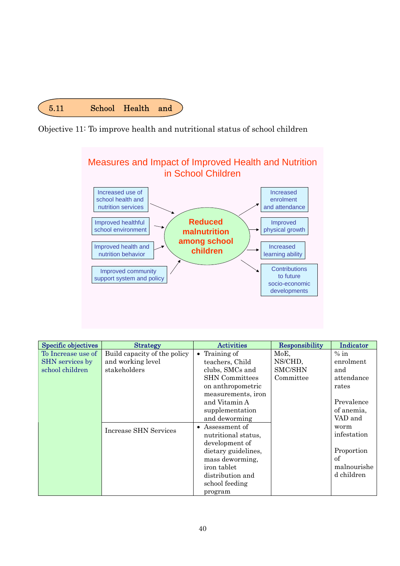





| Specific objectives | <b>Strategy</b>              | <b>Activities</b>          | Responsibility | Indicator   |
|---------------------|------------------------------|----------------------------|----------------|-------------|
| To Increase use of  | Build capacity of the policy | Training of<br>$\bullet$   | MoE,           | $%$ in      |
| SHN services by     | and working level            | teachers, Child            | NS/CHD,        | enrolment   |
| school children     | stakeholders                 | clubs, SMCs and            | SMC/SHN        | and         |
|                     |                              | <b>SHN</b> Committees      | Committee      | attendance  |
|                     |                              | on anthropometric          |                | rates       |
|                     |                              | measurements, iron         |                |             |
|                     |                              | and Vitamin A              |                | Prevalence  |
|                     |                              | supplementation            |                | of anemia,  |
|                     |                              | and deworming              |                | VAD and     |
|                     | <b>Increase SHN Services</b> | Assessment of<br>$\bullet$ |                | worm        |
|                     |                              | nutritional status,        |                | infestation |
|                     |                              | development of             |                |             |
|                     |                              | dietary guidelines,        |                | Proportion  |
|                     |                              | mass deworming,            |                | of          |
|                     |                              | iron tablet                |                | malnourishe |
|                     |                              | distribution and           |                | d children  |
|                     |                              | school feeding             |                |             |
|                     |                              | program                    |                |             |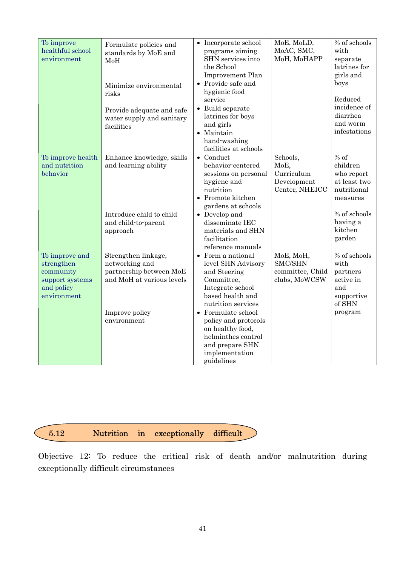| To improve<br>healthful school<br>environment                                             | Formulate policies and<br>standards by MoE and<br>MoH<br>Minimize environmental<br>risks<br>Provide adequate and safe<br>water supply and sanitary<br>facilities | • Incorporate school<br>programs aiming<br>SHN services into<br>the School<br><b>Improvement Plan</b><br>$\bullet$ Provide safe and<br>hygienic food<br>service<br>• Build separate<br>latrines for boys<br>and girls<br>• Maintain<br>hand-washing<br>facilities at schools           | MoE, MoLD,<br>MoAC, SMC,<br>MoH, MoHAPP                          | % of schools<br>with<br>separate<br>latrines for<br>girls and<br>boys<br>Reduced<br>incidence of<br>diarrhea<br>and worm<br>infestations |
|-------------------------------------------------------------------------------------------|------------------------------------------------------------------------------------------------------------------------------------------------------------------|----------------------------------------------------------------------------------------------------------------------------------------------------------------------------------------------------------------------------------------------------------------------------------------|------------------------------------------------------------------|------------------------------------------------------------------------------------------------------------------------------------------|
| To improve health<br>and nutrition<br>behavior                                            | Enhance knowledge, skills<br>and learning ability<br>Introduce child to child<br>and child-to-parent<br>approach                                                 | $\bullet$ Conduct<br>behavior-centered<br>sessions on personal<br>hygiene and<br>nutrition<br>• Promote kitchen<br>gardens at schools<br>• Develop and<br>disseminate IEC<br>materials and SHN<br>facilitation<br>reference manuals                                                    | Schools,<br>MoE,<br>Curriculum<br>Development<br>Center, NHEICC  | $%$ of<br>children<br>who report<br>at least two<br>nutritional<br>measures<br>% of schools<br>having a<br>kitchen<br>garden             |
| To improve and<br>strengthen<br>community<br>support systems<br>and policy<br>environment | Strengthen linkage,<br>networking and<br>partnership between MoE<br>and MoH at various levels<br>Improve policy<br>environment                                   | • Form a national<br>level SHN Advisory<br>and Steering<br>Committee,<br>Integrate school<br>based health and<br>nutrition services<br>$\bullet$ Formulate school<br>policy and protocols<br>on healthy food,<br>helminthes control<br>and prepare SHN<br>implementation<br>guidelines | MoE, MoH,<br><b>SMC/SHN</b><br>committee, Child<br>clubs, MoWCSW | % of schools<br>with<br>partners<br>active in<br>and<br>supportive<br>of SHN<br>program                                                  |

#### ſ 5.12 Nutrition in exceptionally difficult

Objective 12: To reduce the critical risk of death and/or malnutrition during exceptionally difficult circumstances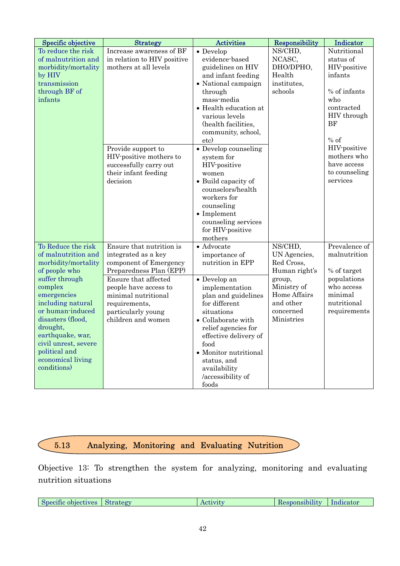| Specific objective                                                                                                                                                                                                                                                                                       | <b>Strategy</b>                                                                                                                                                                                                                           | Activities                                                                                                                                                                                                                                                                                                  | Responsibility                                                                                                                          | Indicator                                                                                                               |  |
|----------------------------------------------------------------------------------------------------------------------------------------------------------------------------------------------------------------------------------------------------------------------------------------------------------|-------------------------------------------------------------------------------------------------------------------------------------------------------------------------------------------------------------------------------------------|-------------------------------------------------------------------------------------------------------------------------------------------------------------------------------------------------------------------------------------------------------------------------------------------------------------|-----------------------------------------------------------------------------------------------------------------------------------------|-------------------------------------------------------------------------------------------------------------------------|--|
| To reduce the risk<br>of malnutrition and<br>morbidity/mortality<br>by HIV<br>transmission<br>through BF of<br>infants                                                                                                                                                                                   | Increase awareness of BF<br>in relation to HIV positive<br>mothers at all levels                                                                                                                                                          | $\bullet$ Develop<br>evidence-based<br>guidelines on HIV<br>and infant feeding<br>• National campaign<br>through<br>mass-media<br>• Health education at<br>various levels<br>(health facilities,<br>community, school,<br>etc)                                                                              | NS/CHD,<br>NCASC,<br>DHO/DPHO,<br>Health<br>institutes,<br>schools                                                                      | Nutritional<br>status of<br>HIV-positive<br>infants<br>% of infants<br>who<br>contracted<br>HIV through<br>BF<br>$%$ of |  |
|                                                                                                                                                                                                                                                                                                          | Provide support to<br>HIV-positive mothers to<br>successfully carry out<br>their infant feeding<br>decision                                                                                                                               | • Develop counseling<br>system for<br>HIV-positive<br>women<br>• Build capacity of<br>counselors/health<br>workers for<br>counseling<br>$\bullet$ Implement<br>counseling services<br>for HIV-positive<br>mothers                                                                                           |                                                                                                                                         | HIV-positive<br>mothers who<br>have access<br>to counseling<br>services                                                 |  |
| To Reduce the risk<br>of malnutrition and<br>morbidity/mortality<br>of people who<br>suffer through<br>complex<br>emergencies<br>including natural<br>or human-induced<br>disasters (flood,<br>drought,<br>earthquake, war,<br>civil unrest, severe<br>political and<br>economical living<br>conditions) | Ensure that nutrition is<br>integrated as a key<br>component of Emergency<br>Preparedness Plan (EPP)<br>Ensure that affected<br>people have access to<br>minimal nutritional<br>requirements,<br>particularly young<br>children and women | • Advocate<br>importance of<br>nutrition in EPP<br>• Develop an<br>implementation<br>plan and guidelines<br>for different<br>situations<br>• Collaborate with<br>relief agencies for<br>effective delivery of<br>food<br>• Monitor nutritional<br>status, and<br>availability<br>/accessibility of<br>foods | NS/CHD,<br>UN Agencies,<br>Red Cross,<br>Human right's<br>group,<br>Ministry of<br>Home Affairs<br>and other<br>concerned<br>Ministries | Prevalence of<br>malnutrition<br>% of target<br>populations<br>who access<br>minimal<br>nutritional<br>requirements     |  |

#### 5.13 5.13 Analyzing, Monitoring and Evaluating Nutrition

Objective 13: To strengthen the system for analyzing, monitoring and evaluating nutrition situations

| Specific objectives Strategy<br>Indicator<br>/ Responsibility<br>Activity |
|---------------------------------------------------------------------------|
|---------------------------------------------------------------------------|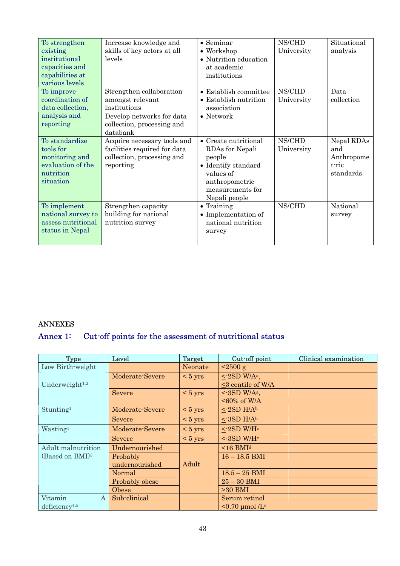| To strengthen<br>existing<br>institutional<br>capacities and<br>capabilities at<br>various levels | Increase knowledge and<br>skills of key actors at all<br>levels                                                                     | $\bullet$ Seminar<br>• Workshop<br>• Nutrition education<br>at academic<br>institutions                                                              | NS/CHD<br>University | Situational<br>analysis                               |
|---------------------------------------------------------------------------------------------------|-------------------------------------------------------------------------------------------------------------------------------------|------------------------------------------------------------------------------------------------------------------------------------------------------|----------------------|-------------------------------------------------------|
| To improve<br>coordination of<br>data collection,<br>analysis and<br>reporting                    | Strengthen collaboration<br>amongst relevant<br>institutions<br>Develop networks for data<br>collection, processing and<br>databank | • Establish committee<br>• Establish nutrition<br>association<br>$\bullet$ Network                                                                   | NS/CHD<br>University | Data<br>collection                                    |
| To standardize<br>tools for<br>monitoring and<br>evaluation of the<br>nutrition<br>situation      | Acquire necessary tools and<br>facilities required for data<br>collection, processing and<br>reporting                              | $\bullet$ Create nutritional<br>RDAs for Nepali<br>people<br>• Identify standard<br>values of<br>anthropometric<br>measurements for<br>Nepali people | NS/CHD<br>University | Nepal RDAs<br>and<br>Anthropome<br>t-ric<br>standards |
| To implement<br>national survey to<br>assess nutritional<br>status in Nepal                       | Strengthen capacity<br>building for national<br>nutrition survey                                                                    | $\bullet$ Training<br>• Implementation of<br>national nutrition<br>survey                                                                            | NS/CHD               | National<br>survey                                    |

## ANNEXES

# Annex 1: Cut-off points for the assessment of nutritional status

| <b>Type</b>                 | Level           | <b>Target</b>     | Cut-off point                                       | <b>Clinical examination</b> |
|-----------------------------|-----------------|-------------------|-----------------------------------------------------|-----------------------------|
| Low Birth-weight            |                 | Neonate           | $\approx$ 2500 g                                    |                             |
|                             | Moderate-Severe | $< 5 \text{ yrs}$ | $\langle$ -2SD W/A <sup>a</sup> ,                   |                             |
| Underweight <sup>1,2</sup>  |                 |                   | <3 centile of W/A                                   |                             |
|                             | Severe          | $< 5 \text{ yrs}$ | $\langle$ -3SD W/A <sup>a</sup> ,<br>$<60\%$ of W/A |                             |
| Stunting <sup>1</sup>       | Moderate-Severe | $< 5 \text{ yrs}$ | $\leq$ -2SD H/Ab                                    |                             |
|                             | Severe          | $< 5 \text{ yrs}$ | $\leq$ -3SD H/Ab                                    |                             |
| Wasting <sup>1</sup>        | Moderate-Severe | $< 5 \text{ yrs}$ | $\text{-2SD W/H}^c$                                 |                             |
|                             | Severe          | $< 5 \text{ yrs}$ | $\text{~-3SD W/H}^\text{c}$                         |                             |
| Adult malnutrition          | Undernourished  |                   | $<$ 16 BMI <sup>d</sup>                             |                             |
| (Based on BMI) <sup>3</sup> | Probably        |                   | $16 - 18.5$ BMI                                     |                             |
|                             | undernourished  | Adult             |                                                     |                             |
|                             | Normal          |                   | $18.5 - 25$ BMI                                     |                             |
|                             | Probably obese  |                   | $25 - 30$ BMI                                       |                             |
|                             | Obese           |                   | $>30$ BMI                                           |                             |
| Vitamin<br>$\mathbf{A}$     | Sub-clinical    |                   | Serum retinol                                       |                             |
| deficiency <sup>4,5</sup>   |                 |                   | $\leq 0.70$ umol /L <sup>e</sup>                    |                             |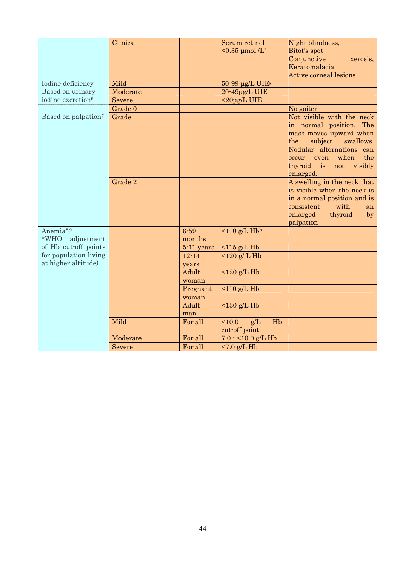|                                 | Clinical |            | Serum retinol<br>$<$ 0.35 µmol /Lf    | Night blindness,<br>Bitot's spot |
|---------------------------------|----------|------------|---------------------------------------|----------------------------------|
|                                 |          |            |                                       | Conjunctive<br>xerosis,          |
|                                 |          |            |                                       | Keratomalacia                    |
|                                 |          |            |                                       | <b>Active corneal lesions</b>    |
| Iodine deficiency               | Mild     |            | $50-99$ µg/L UIEs                     |                                  |
| Based on urinary                | Moderate |            | 20-49µg/L UIE                         |                                  |
| iodine excretion <sup>6</sup>   | Severe   |            | $<$ 20µg/L UIE                        |                                  |
|                                 | Grade 0  |            |                                       | No goiter                        |
| Based on palpation <sup>7</sup> | Grade 1  |            |                                       | Not visible with the neck        |
|                                 |          |            |                                       | in normal position. The          |
|                                 |          |            |                                       | mass moves upward when           |
|                                 |          |            |                                       | the<br>subject<br>swallows.      |
|                                 |          |            |                                       | Nodular alternations can         |
|                                 |          |            |                                       | the<br>when<br>even<br>occur     |
|                                 |          |            |                                       | thyroid is<br>not<br>visibly     |
|                                 |          |            |                                       | enlarged.                        |
|                                 | Grade 2  |            |                                       | A swelling in the neck that      |
|                                 |          |            |                                       | is visible when the neck is      |
|                                 |          |            |                                       | in a normal position and is      |
|                                 |          |            |                                       | consistent<br>with<br>an         |
|                                 |          |            |                                       | enlarged<br>thyroid<br>by        |
|                                 |          |            |                                       | palpation                        |
| Anemia <sup>8,9</sup>           |          | $6 - 59$   | $\leq$ 110 g/L Hbh                    |                                  |
| *WHO<br>adjustment              |          | months     |                                       |                                  |
| of Hb cut-off points            |          | 5-11 years | $115$ g/L Hb                          |                                  |
| for population living           |          | $12 - 14$  | 120 g/L Hb                            |                                  |
| at higher altitude)             |          | years      |                                       |                                  |
|                                 |          | Adult      | $120$ g/L Hb                          |                                  |
|                                 |          | woman      |                                       |                                  |
|                                 |          | Pregnant   | $110$ g/L Hb                          |                                  |
|                                 |          | woman      |                                       |                                  |
|                                 |          | Adult      | $<$ 130 g/L Hb                        |                                  |
|                                 | Mild     | man        | 10.0<br>Hb                            |                                  |
|                                 |          | For all    | g/L<br>cut-off point                  |                                  |
|                                 | Moderate | For all    |                                       |                                  |
|                                 | Severe   | For all    | $7.0 - 10.0$ g/L Hb<br>$< 7.0$ g/L Hb |                                  |
|                                 |          |            |                                       |                                  |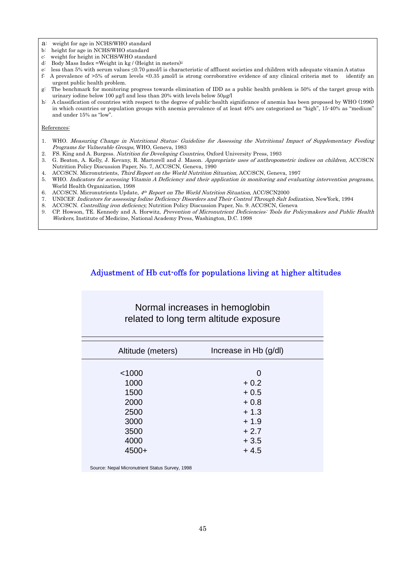a: weight for age in NCHS/WHO standard

- 
- b: height for age in NCHS/WHO standard<br>c: weight for height in NCHS/WHO stands weight for height in NCHS/WHO standard
- d: Body Mass Index =Weight in kg / (Height in meters)2
- e: less than 5% with serum values ≤0.70 µmol/l is characteristic of affluent societies and children with adequate vitamin A status
- f: A prevalence of >5% of serum levels <0.35 µmol/l is strong corroborative evidence of any clinical criteria met to identify an urgent public health problem.
- g: The benchmark for monitoring progress towards elimination of IDD as a public health problem is 50% of the target group with urinary iodine below 100 µg/l and less than 20% with levels below 50µg/l
- h: A classification of countries with respect to the degree of public-health significance of anemia has been proposed by WHO (1996) in which countries or population groups with anemia prevalence of at least 40% are categorized as "high", 15-40% as "medium" and under 15% as "low".

#### References:

- 1. WHO. Measuring Change in Nutritional Status: Guideline for Assessing the Nutritional Impact of Supplementary Feeding Programs for Vulnerable Groups, WHO, Geneva, 1983
- 2. FS. King and A. Burgess. Nutrition for Developing Countries, Oxford University Press, 1993
- 3. G. Beaton, A. Kelly, J. Kevany, R. Martorell and J. Mason. Appropriate uses of anthropometric indices on children, ACC/SCN Nutrition Policy Discussion Paper, No. 7, ACC/SCN, Geneva, 1990
- 4. ACC/SCN. Micronutrients, Third Report on the World Nutrition Situation, ACC/SCN, Geneva, 1997
- 5. WHO. Indicators for accessing Vitamin A Deficiency and their application in monitoring and evaluating intervention programs, World Health Organization, 1998
- 6. ACC/SCN. Micronutrients Update, 4<sup>th</sup> Report on The World Nutrition Situation, ACC/SCN2000
- 7. UNICEF. Indicators for assessing Iodine Deficiency Disorders and Their Control Through Salt Iodization, NewYork, 1994
- 8. ACC/SCN. Controlling iron deficiency, Nutrition Policy Discussion Paper, No. 9. ACC/SCN, Geneva
- 9. CP. Howson, TE. Kennedy and A. Horwitz, Prevention of Micronutrient Deficiencies: Tools for Policymakers and Public Health Workers, Institute of Medicine, National Academy Press, Washington, D.C. 1998

#### Adjustment of Hb cut-offs for populations living at higher altitudes

| Normal increases in hemoglobin<br>related to long term altitude exposure |                       |  |  |  |  |
|--------------------------------------------------------------------------|-----------------------|--|--|--|--|
| Altitude (meters)                                                        | Increase in Hb (g/dl) |  |  |  |  |
| < 1000                                                                   | O                     |  |  |  |  |
| 1000                                                                     | $+0.2$                |  |  |  |  |
| 1500                                                                     | $+0.5$                |  |  |  |  |
| 2000                                                                     | $+0.8$                |  |  |  |  |
| 2500                                                                     | $+1.3$                |  |  |  |  |
| 3000                                                                     | $+1.9$                |  |  |  |  |
| 3500                                                                     | $+2.7$                |  |  |  |  |
| 4000                                                                     | $+3.5$                |  |  |  |  |
| $4500+$                                                                  | $+4.5$                |  |  |  |  |

Source: Nepal Micronutrient Status Survey, 1998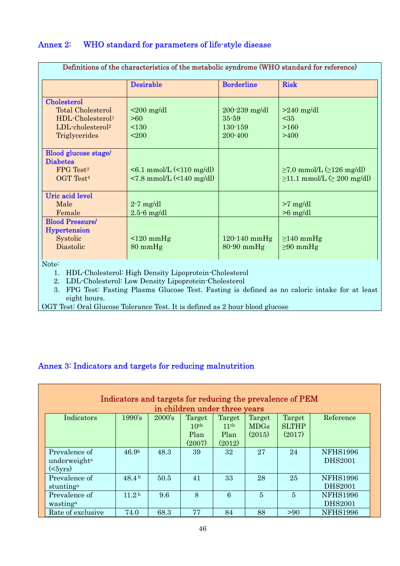### Annex 2: WHO standard for parameters of life-style disease

| <b>Desirable</b>                                                       | <b>Borderline</b>                                    | <b>Risk</b>                                                                           |
|------------------------------------------------------------------------|------------------------------------------------------|---------------------------------------------------------------------------------------|
|                                                                        |                                                      |                                                                                       |
| $\leq$ 200 mg/dl                                                       | $200 - 239$ mg/dl<br>35-59<br>$130 - 159$<br>200-400 | $>240$ mg/dl<br>$35$<br>>160<br>>400                                                  |
| $\leq 6.1$ mmol/L $(\leq 110$ mg/dl)<br>$< 7.8$ mmol/L $(< 140$ mg/dl) |                                                      | $\geq 7.0$ mmol/L $(\geq 126$ mg/dl)<br>$\geq$ 11.1 mmol/L $(\geq 200 \text{ mg/dl})$ |
| $2-7$ mg/dl<br>$2.5 - 6$ mg/dl<br>$\leq 120$ mmHg<br>$80 \text{ mmHg}$ | $120-140$ mmHg<br>$80-90$ mmHg                       | $>7$ mg/dl<br>$>6$ mg/dl<br>$\geq$ 140 mmHg<br>$\geq 90$ mmHg                         |
|                                                                        |                                                      |                                                                                       |

Note:

1. HDL-Cholesterol: High Density Lipoprotein-Cholesterol

2. LDL-Cholesterol: Low Density Lipoprotein-Cholesterol

3. FPG Test: Fasting Plasma Glucose Test. Fasting is defined as no caloric intake for at least eight hours.

OGT Test: Oral Glucose Tolerance Test. It is defined as 2 hour blood glucose

## Annex 3: Indicators and targets for reducing malnutrition

| Indicators and targets for reducing the prevalence of PEM<br>in children under three years |                   |        |                  |                  |             |              |                 |
|--------------------------------------------------------------------------------------------|-------------------|--------|------------------|------------------|-------------|--------------|-----------------|
| Indicators                                                                                 | 1990's            | 2000's | Target           | Target           | Target      | Target       | Reference       |
|                                                                                            |                   |        | 10 <sup>th</sup> | 11 <sup>th</sup> | <b>MDGs</b> | <b>SLTHP</b> |                 |
|                                                                                            |                   |        | Plan             | Plan             | (2015)      | (2017)       |                 |
|                                                                                            |                   |        | (2007)           | (2012)           |             |              |                 |
| Prevalence of                                                                              | 46.9 <sup>b</sup> | 48.3   | 39               | 32               | 27          | 24           | <b>NFHS1996</b> |
| underweight <sup>a</sup>                                                                   |                   |        |                  |                  |             |              | <b>DHS2001</b>  |
| ( <i>5</i> yrs)                                                                            |                   |        |                  |                  |             |              |                 |
| Prevalence of                                                                              | 48.4 <sup>b</sup> | 50.5   | 41               | 33               | 28          | 25           | <b>NFHS1996</b> |
| stunting <sup>a</sup>                                                                      |                   |        |                  |                  |             |              | <b>DHS2001</b>  |
| Prevalence of                                                                              | 11.2 <sup>b</sup> | 9.6    | 8                | 6                | 5           | 5            | <b>NFHS1996</b> |
| wasting <sup>a</sup>                                                                       |                   |        |                  |                  |             |              | <b>DHS2001</b>  |
| Rate of exclusive                                                                          | 74.0              | 68.3   | 77               | 84               | 88          | > 90         | <b>NFHS1996</b> |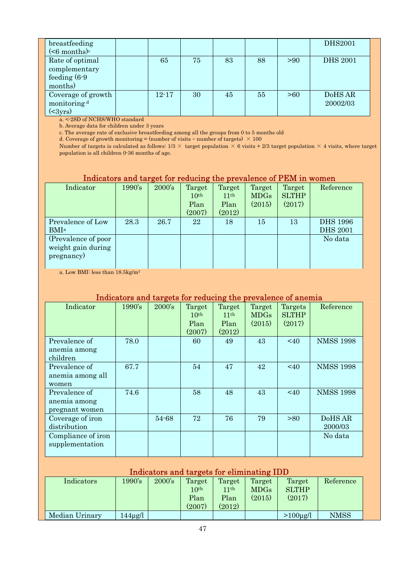| breastfeeding<br>( <sub>6</sub> months) <sup>c</sup>           |           |    |    |    |      | <b>DHS2001</b>      |
|----------------------------------------------------------------|-----------|----|----|----|------|---------------------|
| Rate of optimal<br>complementary<br>feeding $(6-9)$<br>months) | 65        | 75 | 83 | 88 | > 90 | <b>DHS 2001</b>     |
| Coverage of growth<br>monitoring <sup>d</sup><br>$(\leq 3yrs)$ | $12 - 17$ | 30 | 45 | 55 | >60  | DoHS AR<br>20002/03 |

a. <-2SD of NCHS/WHO standard

b. Average data for children under 3 years

c. The average rate of exclusive breastfeeding among all the groups from 0 to 5 months old

d. Coverage of growth monitoring = (number of visits  $\div$  number of targets)  $\times$  100

Number of targets is calculated as follows:  $1/3 \times$  target population  $\times$  6 visits + 2/3 target population  $\times$  4 visits, where target population is all children 0-36 months of age.

#### Indicators and target for reducing the prevalence of PEM in women

| Indicator                                               | 1990's | 2000's | Target<br>10 <sup>th</sup><br>Plan<br>(2007) | Target<br>11 <sup>th</sup><br>Plan<br>(2012) | Target<br><b>MDGs</b><br>(2015) | Target<br><b>SLTHP</b><br>(2017) | Reference                          |
|---------------------------------------------------------|--------|--------|----------------------------------------------|----------------------------------------------|---------------------------------|----------------------------------|------------------------------------|
| Prevalence of Low<br><b>BMI</b> <sup>a</sup>            | 28.3   | 26.7   | 22                                           | 18                                           | 15                              | 13                               | <b>DHS 1996</b><br><b>DHS 2001</b> |
| (Prevalence of poor<br>weight gain during<br>pregnancy) |        |        |                                              |                                              |                                 |                                  | No data                            |

a. Low BMI: less than 18.5kg/m2

#### Indicators and targets for reducing the prevalence of anemia

| Indicator          | 1990's | $2000$ 's | Target           | Target           | Target      | Targets      | Reference        |
|--------------------|--------|-----------|------------------|------------------|-------------|--------------|------------------|
|                    |        |           | 10 <sup>th</sup> | 11 <sup>th</sup> | <b>MDGs</b> | <b>SLTHP</b> |                  |
|                    |        |           | Plan             | Plan             | (2015)      | (2017)       |                  |
|                    |        |           | (2007)           | (2012)           |             |              |                  |
| Prevalence of      | 78.0   |           | 60               | 49               | 43          | $\leq 40$    | <b>NMSS 1998</b> |
| anemia among       |        |           |                  |                  |             |              |                  |
| children           |        |           |                  |                  |             |              |                  |
| Prevalence of      | 67.7   |           | 54               | 47               | 42          | $<$ 40       | <b>NMSS 1998</b> |
| anemia among all   |        |           |                  |                  |             |              |                  |
| women              |        |           |                  |                  |             |              |                  |
| Prevalence of      | 74.6   |           | 58               | 48               | 43          | $<$ 40       | <b>NMSS 1998</b> |
| anemia among       |        |           |                  |                  |             |              |                  |
| pregnant women     |        |           |                  |                  |             |              |                  |
| Coverage of iron   |        | 54-68     | 72               | 76               | 79          | >80          | DoHS AR          |
| distribution       |        |           |                  |                  |             |              | 2000/03          |
| Compliance of iron |        |           |                  |                  |             |              | No data          |
| supplementation    |        |           |                  |                  |             |              |                  |
|                    |        |           |                  |                  |             |              |                  |

#### Indicators and targets for eliminating IDD Indicators 1990's 2000's Target  $10<sup>th</sup>$ Plan (2007) Target  $11<sup>th</sup>$ Plan (2012) Target MDGs  $(2015)$ Target **SLTHP** (2017) Reference Median Urinary 144µg/l >100µg/l NMSS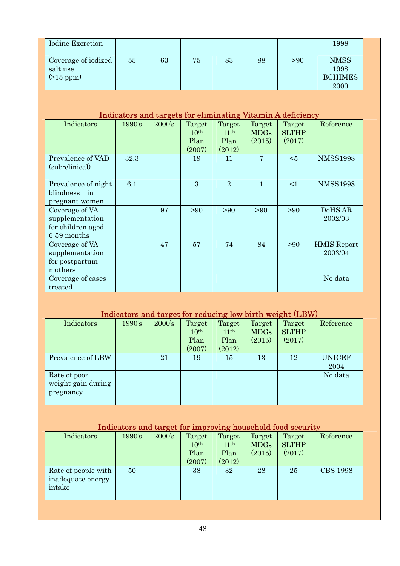| <b>Iodine Excretion</b>                                               |        |        |                                              |                                              |                                 |                                                             | 1998                                          |
|-----------------------------------------------------------------------|--------|--------|----------------------------------------------|----------------------------------------------|---------------------------------|-------------------------------------------------------------|-----------------------------------------------|
| Coverage of iodized<br>salt use<br>$(215$ ppm)                        | 55     | 63     | 75                                           | 83                                           | 88                              | > 90                                                        | <b>NMSS</b><br>1998<br><b>BCHIMES</b><br>2000 |
|                                                                       |        |        |                                              |                                              |                                 | Indicators and targets for eliminating Vitamin A deficiency |                                               |
| Indicators                                                            | 1990's | 2000's | Target<br>10 <sup>th</sup><br>Plan<br>(2007) | Target<br>11 <sup>th</sup><br>Plan<br>(2012) | Target<br><b>MDGs</b><br>(2015) | Target<br><b>SLTHP</b><br>(2017)                            | Reference                                     |
| Prevalence of VAD<br>(sub-clinical)                                   | 32.3   |        | 19                                           | 11                                           | $\overline{7}$                  | $5$                                                         | <b>NMSS1998</b>                               |
| Prevalence of night<br>blindness in<br>pregnant women                 | 6.1    |        | 3                                            | $\overline{2}$                               | $\mathbf{1}$                    | <1                                                          | <b>NMSS1998</b>                               |
| Coverage of VA<br>supplementation<br>for children aged<br>6-59 months |        | 97     | >90                                          | > 90                                         | > 90                            | > 90                                                        | DoHS AR<br>2002/03                            |
| Coverage of VA<br>supplementation<br>for postpartum<br>mothers        |        | 47     | 57                                           | 74                                           | 84                              | > 90                                                        | <b>HMIS Report</b><br>2003/04                 |
| Coverage of cases<br>treated                                          |        |        |                                              |                                              |                                 |                                                             | No data                                       |

# Indicators and target for reducing low birth weight (LBW)

| Indicators         | 1990's | 2000's | Target           | Target           | Target      | Target       | Reference     |
|--------------------|--------|--------|------------------|------------------|-------------|--------------|---------------|
|                    |        |        | 10 <sup>th</sup> | 11 <sup>th</sup> | <b>MDGs</b> | <b>SLTHP</b> |               |
|                    |        |        | Plan             | Plan             | (2015)      | (2017)       |               |
|                    |        |        | (2007)           | (2012)           |             |              |               |
| Prevalence of LBW  |        | 21     | 19               | 15               | 13          | 12           | <b>UNICEF</b> |
|                    |        |        |                  |                  |             |              | 2004          |
| Rate of poor       |        |        |                  |                  |             |              | No data       |
| weight gain during |        |        |                  |                  |             |              |               |
| pregnancy          |        |        |                  |                  |             |              |               |
|                    |        |        |                  |                  |             |              |               |

# Indicators and target for improving household food security

| Indicators          | 1990's | 2000's | Target           | Target           | Target      | Target       | Reference       |
|---------------------|--------|--------|------------------|------------------|-------------|--------------|-----------------|
|                     |        |        | 10 <sup>th</sup> | 11 <sup>th</sup> | <b>MDGs</b> | <b>SLTHP</b> |                 |
|                     |        |        | Plan             | Plan             | (2015)      | (2017)       |                 |
|                     |        |        | (2007)           | (2012)           |             |              |                 |
| Rate of people with | 50     |        | 38               | 32               | 28          | 25           | <b>CBS 1998</b> |
| inadequate energy   |        |        |                  |                  |             |              |                 |
| intake              |        |        |                  |                  |             |              |                 |
|                     |        |        |                  |                  |             |              |                 |
|                     |        |        |                  |                  |             |              |                 |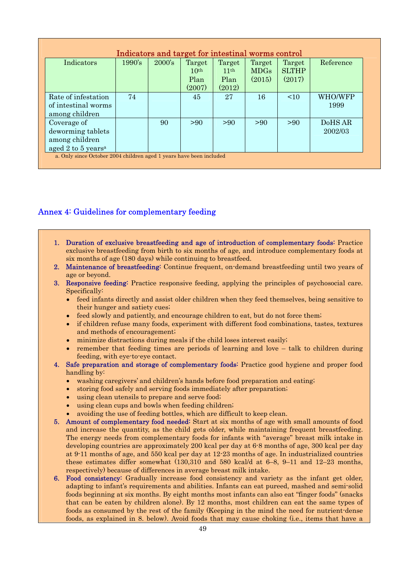| Indicators                                                   | 1990's | $2000$ 's | Target<br>10 <sup>th</sup> | Target<br>11 <sup>th</sup> | Target<br><b>MDGs</b> | Target<br><b>SLTHP</b> | Reference          |
|--------------------------------------------------------------|--------|-----------|----------------------------|----------------------------|-----------------------|------------------------|--------------------|
|                                                              |        |           | Plan<br>(2007)             | Plan<br>(2012)             | (2015)                | (2017)                 |                    |
| Rate of infestation<br>of intestinal worms<br>among children | 74     |           | 45                         | 27                         | 16                    | <10                    | WHO/WFP<br>1999    |
| Coverage of<br>deworming tablets<br>among children           |        | 90        | >90                        | >90                        | >90                   | >90                    | DoHS AR<br>2002/03 |
| aged 2 to 5 years <sup>a</sup>                               |        |           |                            |                            |                       |                        |                    |

#### Annex 4: Guidelines for complementary feeding

- 1. Duration of exclusive breastfeeding and age of introduction of complementary foods: Practice exclusive breastfeeding from birth to six months of age, and introduce complementary foods at six months of age (180 days) while continuing to breastfeed.
- 2. Maintenance of breastfeeding: Continue frequent, on-demand breastfeeding until two years of age or beyond.
- 3. Responsive feeding: Practice responsive feeding, applying the principles of psychosocial care. Specifically:
	- feed infants directly and assist older children when they feed themselves, being sensitive to their hunger and satiety cues;
	- feed slowly and patiently, and encourage children to eat, but do not force them;
	- if children refuse many foods, experiment with different food combinations, tastes, textures and methods of encouragement;
	- minimize distractions during meals if the child loses interest easily;
	- remember that feeding times are periods of learning and love talk to children during feeding, with eye-to-eye contact.
- 4. Safe preparation and storage of complementary foods: Practice good hygiene and proper food handling by:
	- washing caregivers' and children's hands before food preparation and eating;
	- storing food safely and serving foods immediately after preparation;
	- using clean utensils to prepare and serve food;
	- using clean cups and bowls when feeding children;
	- avoiding the use of feeding bottles, which are difficult to keep clean.
- 5. Amount of complementary food needed: Start at six months of age with small amounts of food and increase the quantity, as the child gets older, while maintaining frequent breastfeeding. The energy needs from complementary foods for infants with "average" breast milk intake in developing countries are approximately 200 kcal per day at 6-8 months of age, 300 kcal per day at 9-11 months of age, and 550 kcal per day at 12-23 months of age. In industrialized countries these estimates differ somewhat (130,310 and 580 kcal/d at 6–8, 9–11 and 12–23 months, respectively) because of differences in average breast milk intake.
- 6. Food consistency: Gradually increase food consistency and variety as the infant get older, adapting to infant's requirements and abilities. Infants can eat pureed, mashed and semi-solid foods beginning at six months. By eight months most infants can also eat "finger foods" (snacks that can be eaten by children alone). By 12 months, most children can eat the same types of foods as consumed by the rest of the family (Keeping in the mind the need for nutrient-dense foods, as explained in 8. below). Avoid foods that may cause choking (i.e., items that have a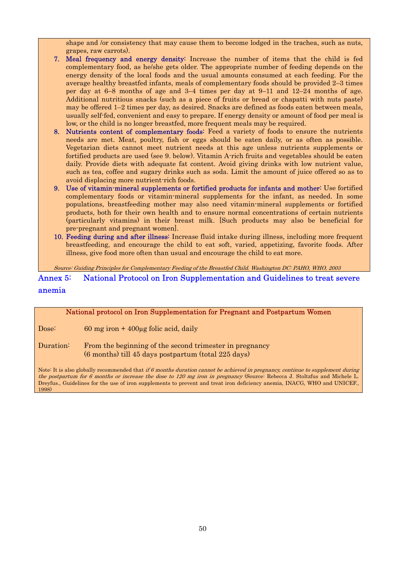shape and /or consistency that may cause them to become lodged in the trachea, such as nuts, grapes, raw carrots).

- 7. Meal frequency and energy density: Increase the number of items that the child is fed complementary food, as he/she gets older. The appropriate number of feeding depends on the energy density of the local foods and the usual amounts consumed at each feeding. For the average healthy breastfed infants, meals of complementary foods should be provided 2–3 times per day at 6–8 months of age and 3–4 times per day at 9–11 and 12–24 months of age. Additional nutritious snacks (such as a piece of fruits or bread or chapatti with nuts paste) may be offered 1–2 times per day, as desired. Snacks are defined as foods eaten between meals, usually self-fed, convenient and easy to prepare. If energy density or amount of food per meal is low, or the child is no longer breastfed, more frequent meals may be required.
- 8. Nutrients content of complementary foods: Feed a variety of foods to ensure the nutrients needs are met. Meat, poultry, fish or eggs should be eaten daily, or as often as possible. Vegetarian diets cannot meet nutrient needs at this age unless nutrients supplements or fortified products are used (see 9. below). Vitamin A-rich fruits and vegetables should be eaten daily. Provide diets with adequate fat content. Avoid giving drinks with low nutrient value, such as tea, coffee and sugary drinks such as soda. Limit the amount of juice offered so as to avoid displacing more nutrient-rich foods.
- 9. Use of vitamin-mineral supplements or fortified products for infants and mother: Use fortified complementary foods or vitamin-mineral supplements for the infant, as needed. In some populations, breastfeeding mother may also need vitamin-mineral supplements or fortified products, both for their own health and to ensure normal concentrations of certain nutrients (particularly vitamins) in their breast milk. [Such products may also be beneficial for pre-pregnant and pregnant women].
- 10. Feeding during and after illness: Increase fluid intake during illness, including more frequent breastfeeding, and encourage the child to eat soft, varied, appetizing, favorite foods. After illness, give food more often than usual and encourage the child to eat more.

Source: Guiding Principles for Complementary Feeding of the Breastfed Child. Washington DC: PAHO, WHO, 2003

Annex 5: National Protocol on Iron Supplementation and Guidelines to treat severe anemia

# National protocol on Iron Supplementation for Pregnant and Postpartum Women Dose: 60 mg iron + 400µg folic acid, daily Duration: From the beginning of the second trimester in pregnancy (6 months) till 45 days postpartum (total 225 days) Note: It is also globally recommended that if 6 months duration cannot be achieved in pregnancy, continue to supplement during

the postpartum for 6 months or increase the dose to 120 mg iron in pregnancy (Source: Rebecca J. Stoltzfus and Michele L. Dreyfus., Guidelines for the use of iron supplements to prevent and treat iron deficiency anemia, INACG, WHO and UNICEF., 1998)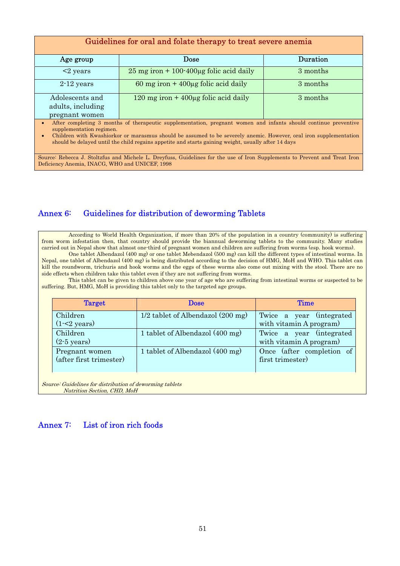| Guidelines for oral and folate therapy to treat severe anemia                                                                                                                                                                                                                                                                                                           |                                                                                                                            |          |  |  |  |  |  |
|-------------------------------------------------------------------------------------------------------------------------------------------------------------------------------------------------------------------------------------------------------------------------------------------------------------------------------------------------------------------------|----------------------------------------------------------------------------------------------------------------------------|----------|--|--|--|--|--|
|                                                                                                                                                                                                                                                                                                                                                                         |                                                                                                                            |          |  |  |  |  |  |
| Age group                                                                                                                                                                                                                                                                                                                                                               | Dose                                                                                                                       | Duration |  |  |  |  |  |
| $\leq$ years                                                                                                                                                                                                                                                                                                                                                            | $25 \text{ mg iron} + 100 \cdot 400 \mu \text{g folic acid daily}$                                                         | 3 months |  |  |  |  |  |
| $2-12$ years                                                                                                                                                                                                                                                                                                                                                            | 60 mg iron + $400\mu$ g folic acid daily                                                                                   | 3 months |  |  |  |  |  |
| Adolescents and                                                                                                                                                                                                                                                                                                                                                         | 120 mg iron $+$ 400 $\mu$ g folic acid daily                                                                               | 3 months |  |  |  |  |  |
| adults, including                                                                                                                                                                                                                                                                                                                                                       |                                                                                                                            |          |  |  |  |  |  |
| pregnant women                                                                                                                                                                                                                                                                                                                                                          |                                                                                                                            |          |  |  |  |  |  |
| After completing 3 months of therapeutic supplementation, pregnant women and infants should continue preventive<br>supplementation regimen.<br>Children with Kwashiorkor or marasmus should be assumed to be severely anemic. However, oral iron supplementation<br>should be delayed until the child regains appetite and starts gaining weight, usually after 14 days |                                                                                                                            |          |  |  |  |  |  |
|                                                                                                                                                                                                                                                                                                                                                                         | Source: Rebecca J. Stoltzfus and Michele L. Dreyfuss, Guidelines for the use of Iron Supplements to Prevent and Treat Iron |          |  |  |  |  |  |
|                                                                                                                                                                                                                                                                                                                                                                         | Deficiency Anemia, INACG, WHO and UNICEF, 1998                                                                             |          |  |  |  |  |  |

#### Annex 6: Guidelines for distribution of deworming Tablets

 According to World Health Organization, if more than 20% of the population in a country (community) is suffering from worm infestation then, that country should provide the biannual deworming tablets to the community. Many studies carried out in Nepal show that almost one-third of pregnant women and children are suffering from worms (esp. hook worms). One tablet Albendazol (400 mg) or one tablet Mebendazol (500 mg) can kill the different types of intestinal worms. In

Nepal, one tablet of Albendazol (400 mg) is being distributed according to the decision of HMG, MoH and WHO. This tablet can kill the roundworm, trichuris and hook worms and the eggs of these worms also come out mixing with the stool. There are no side effects when children take this tablet even if they are not suffering from worms.

 This tablet can be given to children above one year of age who are suffering from intestinal worms or suspected to be suffering. But, HMG, MoH is providing this tablet only to the targeted age groups.

| <b>Target</b>                             | <b>Dose</b>                         | Time                                                 |
|-------------------------------------------|-------------------------------------|------------------------------------------------------|
| Children<br>$(1-2 \text{ years})$         | $1/2$ tablet of Albendazol (200 mg) | Twice a year (integrated)<br>with vitamin A program) |
| Children<br>$(2-5 \text{ years})$         | 1 tablet of Albendazol (400 mg)     | Twice a year (integrated)<br>with vitamin A program) |
| Pregnant women<br>(after first trimester) | 1 tablet of Albendazol (400 mg)     | Once (after completion of<br>first trimester)        |

Source: Guidelines for distribution of deworming tablets Nutrition Section, CHD, MoH

#### Annex 7: List of iron rich foods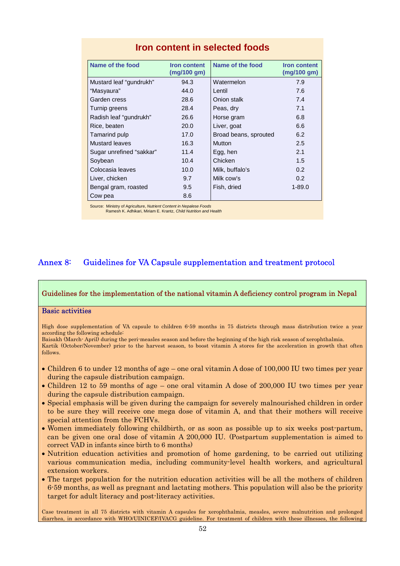| Name of the food         | <b>Iron content</b> | Name of the food      | <b>Iron content</b> |
|--------------------------|---------------------|-----------------------|---------------------|
|                          | (mg/100 gm)         |                       | (mg/100 gm)         |
| Mustard leaf "gundrukh"  | 94.3                | Watermelon            | 7.9                 |
| "Masyaura"               | 44.0                | Lentil                | 7.6                 |
| Garden cress             | 28.6                | Onion stalk           | 7.4                 |
| Turnip greens            | 28.4                | Peas, dry             | 7.1                 |
| Radish leaf "gundrukh"   | 26.6                | Horse gram            | 6.8                 |
| Rice, beaten             | 20.0                | Liver, goat           | 6.6                 |
| Tamarind pulp            | 17.0                | Broad beans, sprouted | 6.2                 |
| <b>Mustard leaves</b>    | 16.3                | <b>Mutton</b>         | 2.5                 |
| Sugar unrefined "sakkar" | 11.4                | Egg, hen              | 2.1                 |
| Soybean                  | 10.4                | Chicken               | 1.5                 |
| Colocasia leaves         | 10.0                | Milk, buffalo's       | 0.2                 |
| Liver, chicken           | 9.7                 | Milk cow's            | 0.2                 |
| Bengal gram, roasted     | 9.5                 | Fish, dried           | $1 - 89.0$          |
| Cow pea                  | 8.6                 |                       |                     |

#### **Iron content in selected foods**

Source: Ministry of Agriculture, *Nutrient Content in Nepalese Foods*

Ramesh K. Adhikari, Miriam E. Krantz, *Child Nutrition and Health*

#### Annex 8: Guidelines for VA Capsule supplementation and treatment protocol

#### Guidelines for the implementation of the national vitamin A deficiency control program in Nepal

#### Basic activities

High dose supplementation of VA capsule to children 6-59 months in 75 districts through mass distribution twice a year according the following schedule:

Baisakh (March- April) during the peri-measles season and before the beginning of the high risk season of xerophthalmia.

Kartik (October/November) prior to the harvest season, to boost vitamin A stores for the acceleration in growth that often follows.

- Children 6 to under 12 months of age one oral vitamin A dose of 100,000 IU two times per year during the capsule distribution campaign.
- Children 12 to 59 months of age one oral vitamin A dose of 200,000 IU two times per year during the capsule distribution campaign.
- Special emphasis will be given during the campaign for severely malnourished children in order to be sure they will receive one mega dose of vitamin A, and that their mothers will receive special attention from the FCHVs.
- Women immediately following childbirth, or as soon as possible up to six weeks post-partum, can be given one oral dose of vitamin A 200,000 IU. (Postpartum supplementation is aimed to correct VAD in infants since birth to 6 months)
- Nutrition education activities and promotion of home gardening, to be carried out utilizing various communication media, including community-level health workers, and agricultural extension workers.
- The target population for the nutrition education activities will be all the mothers of children 6-59 months, as well as pregnant and lactating mothers. This population will also be the priority target for adult literacy and post-literacy activities.

Case treatment in all 75 districts with vitamin A capsules for xerophthalmia, measles, severe malnutrition and prolonged diarrhea, in accordance with WHO/UINICEF/IVACG guideline. For treatment of children with these illnesses, the following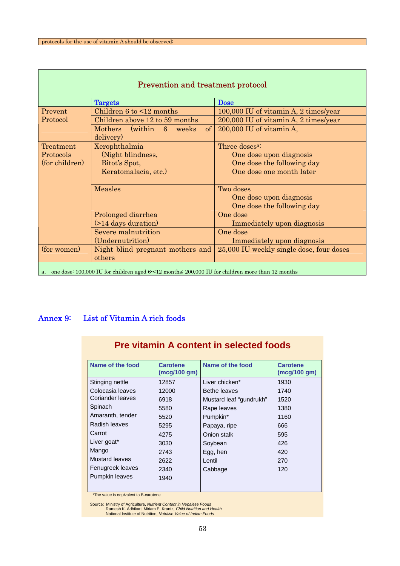П

| <b>Prevention and treatment protocol</b>                                                             |                                                          |                                                                    |  |  |  |  |
|------------------------------------------------------------------------------------------------------|----------------------------------------------------------|--------------------------------------------------------------------|--|--|--|--|
|                                                                                                      | <b>Targets</b>                                           | <b>Dose</b>                                                        |  |  |  |  |
| Prevent                                                                                              | Children $6$ to $\leq 12$ months                         | 100,000 IU of vitamin A, 2 times/year                              |  |  |  |  |
| Protocol                                                                                             | Children above 12 to 59 months                           | 200,000 IU of vitamin A, 2 times/year                              |  |  |  |  |
|                                                                                                      | Mothers (within 6<br>weeks<br><sub>of</sub><br>delivery) | 200,000 IU of vitamin A,                                           |  |  |  |  |
| Treatment                                                                                            | Xerophthalmia                                            | Three doses <sup>a:</sup>                                          |  |  |  |  |
| Protocols                                                                                            | (Night blindness,                                        | One dose upon diagnosis                                            |  |  |  |  |
| (for children)                                                                                       | Bitot's Spot,                                            | One dose the following day                                         |  |  |  |  |
|                                                                                                      | Keratomalacia, etc.)                                     | One dose one month later                                           |  |  |  |  |
|                                                                                                      | <b>Measles</b>                                           | Two doses<br>One dose upon diagnosis<br>One dose the following day |  |  |  |  |
|                                                                                                      | Prolonged diarrhea                                       | One dose                                                           |  |  |  |  |
|                                                                                                      | (>14 days duration)                                      | Immediately upon diagnosis                                         |  |  |  |  |
|                                                                                                      | Severe malnutrition                                      | One dose                                                           |  |  |  |  |
|                                                                                                      | (Undernutrition)                                         | Immediately upon diagnosis                                         |  |  |  |  |
| (for women)                                                                                          | Night blind pregnant mothers and                         | 25,000 IU weekly single dose, four doses                           |  |  |  |  |
|                                                                                                      | others                                                   |                                                                    |  |  |  |  |
| a. one dose: 100,000 IU for children aged 6 < 12 months; 200,000 IU for children more than 12 months |                                                          |                                                                    |  |  |  |  |

### Annex 9: List of Vitamin A rich foods

| Name of the food      | <b>Carotene</b><br>(mcq/100 gm) | Name of the food        | <b>Carotene</b><br>(mcq/100 gm) |
|-----------------------|---------------------------------|-------------------------|---------------------------------|
| Stinging nettle       | 12857                           | Liver chicken*          | 1930                            |
| Colocasia leaves      | 12000                           | Bethe leaves            | 1740                            |
| Coriander leaves      | 6918                            | Mustard leaf "gundrukh" | 1520                            |
| Spinach               | 5580                            | Rape leaves             | 1380                            |
| Amaranth, tender      | 5520                            | Pumpkin*                | 1160                            |
| Radish leaves         | 5295                            | Papaya, ripe            | 666                             |
| Carrot                | 4275                            | Onion stalk             | 595                             |
| Liver goat*           | 3030                            | Soybean                 | 426                             |
| Mango                 | 2743                            | Egg, hen                | 420                             |
| <b>Mustard leaves</b> | 2622                            | Lentil                  | 270                             |
| Fenugreek leaves      | 2340                            | Cabbage                 | 120                             |
| <b>Pumpkin leaves</b> | 1940                            |                         |                                 |

**Pre vitamin A content in selected foods**

\*The value is equivalent to B-carotene

Source: Ministry of Agriculture, *Nutrient Content in Nepalese Foods* Ramesh K. Adhikari, Miriam E. Krantz, *Child Nutrition and Health* National Institute of Nutrition, *Nutritive Value of Indian Foods*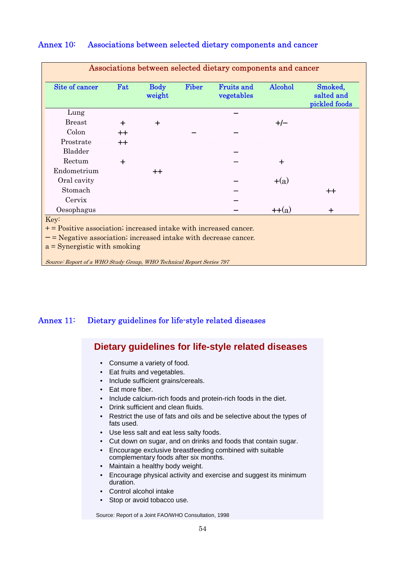| Site of cancer                                                     | Fat              | <b>Body</b><br>weight | <b>Fiber</b> | <b>Fruits and</b><br>vegetables | Alcohol     | Smoked,<br>salted and<br>pickled foods |
|--------------------------------------------------------------------|------------------|-----------------------|--------------|---------------------------------|-------------|----------------------------------------|
| Lung                                                               |                  |                       |              |                                 |             |                                        |
| <b>Breast</b>                                                      |                  | $\div$                |              |                                 | $+/-$       |                                        |
| Colon                                                              | $^{\mathrm{++}}$ |                       |              |                                 |             |                                        |
| Prostrate                                                          | $++$             |                       |              |                                 |             |                                        |
| Bladder                                                            |                  |                       |              |                                 |             |                                        |
| Rectum                                                             | $\div$           |                       |              |                                 | $\div$      |                                        |
| Endometrium                                                        |                  | $^{++}$               |              |                                 |             |                                        |
| Oral cavity                                                        |                  |                       |              |                                 | $+(a)$      |                                        |
| Stomach                                                            |                  |                       |              |                                 |             | $++$                                   |
| Cervix                                                             |                  |                       |              |                                 |             |                                        |
| Oesophagus                                                         |                  |                       |              |                                 | $+$ + $(a)$ | $\div$                                 |
| Key:                                                               |                  |                       |              |                                 |             |                                        |
| $+=$ Positive association; increased intake with increased cancer. |                  |                       |              |                                 |             |                                        |
| $-$ = Negative association; increased intake with decrease cancer. |                  |                       |              |                                 |             |                                        |

#### Annex 10: Associations between selected dietary components and cancer

## Annex 11: Dietary guidelines for life-style related diseases

## **Dietary guidelines for life-style related diseases**

- Consume a variety of food.
- Eat fruits and vegetables.
- Include sufficient grains/cereals.
- Eat more fiber.
- Include calcium-rich foods and protein-rich foods in the diet.
- Drink sufficient and clean fluids.
- Restrict the use of fats and oils and be selective about the types of fats used.
- Use less salt and eat less salty foods.
- Cut down on sugar, and on drinks and foods that contain sugar.
- Encourage exclusive breastfeeding combined with suitable complementary foods after six months.
- Maintain a healthy body weight.
- Encourage physical activity and exercise and suggest its minimum duration.
- Control alcohol intake
- Stop or avoid tobacco use.

Source: Report of a Joint FAO/WHO Consultation, 1998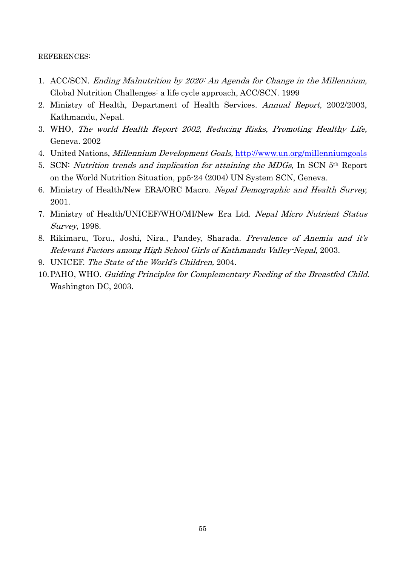#### REFERENCES:

- 1. ACC/SCN. Ending Malnutrition by 2020: An Agenda for Change in the Millennium, Global Nutrition Challenges: a life cycle approach, ACC/SCN. 1999
- 2. Ministry of Health, Department of Health Services. Annual Report, 2002/2003, Kathmandu, Nepal.
- 3. WHO, The world Health Report 2002, Reducing Risks, Promoting Healthy Life, Geneva. 2002
- 4. United Nations, Millennium Development Goals, http://www.un.org/millenniumgoals
- 5. SCN: Nutrition trends and implication for attaining the MDGs, In SCN 5th Report on the World Nutrition Situation, pp5-24 (2004) UN System SCN, Geneva.
- 6. Ministry of Health/New ERA/ORC Macro. Nepal Demographic and Health Survey, 2001.
- 7. Ministry of Health/UNICEF/WHO/MI/New Era Ltd. Nepal Micro Nutrient Status Survey, 1998.
- 8. Rikimaru, Toru., Joshi, Nira., Pandey, Sharada. Prevalence of Anemia and it's Relevant Factors among High School Girls of Kathmandu Valley-Nepal, 2003.
- 9. UNICEF. The State of the World's Children, 2004.
- 10.PAHO, WHO. Guiding Principles for Complementary Feeding of the Breastfed Child. Washington DC, 2003.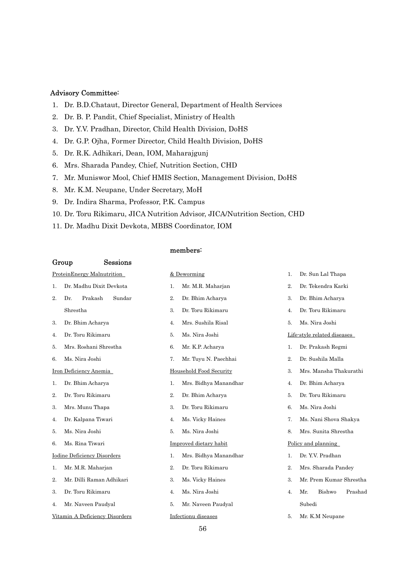#### Advisory Committee:

- 1. Dr. B.D.Chataut, Director General, Department of Health Services
- 2. Dr. B. P. Pandit, Chief Specialist, Ministry of Health
- 3. Dr. Y.V. Pradhan, Director, Child Health Division, DoHS
- 4. Dr. G.P. Ojha, Former Director, Child Health Division, DoHS
- 5. Dr. R.K. Adhikari, Dean, IOM, Maharajgunj
- 6. Mrs. Sharada Pandey, Chief, Nutrition Section, CHD
- 7. Mr. Muniswor Mool, Chief HMIS Section, Management Division, DoHS
- 8. Mr. K.M. Neupane, Under Secretary, MoH
- 9. Dr. Indira Sharma, Professor, P.K. Campus
- 10. Dr. Toru Rikimaru, JICA Nutrition Advisor, JICA/Nutrition Section, CHD

members:

11. Dr. Madhu Dixit Devkota, MBBS Coordinator, IOM

|                            | Sessions<br>Group                  |             |                         |    |                             |
|----------------------------|------------------------------------|-------------|-------------------------|----|-----------------------------|
| ProteinEnergy Malnutrition |                                    | & Deworming |                         | 1. | Dr. Sun Lal Thapa           |
| 1.                         | Dr. Madhu Dixit Devkota            | 1.          | Mr. M.R. Maharjan       | 2. | Dr. Tekendra Karki          |
| 2.                         | Sundar<br>Prakash<br>Dr.           | 2.          | Dr. Bhim Acharya        | 3. | Dr. Bhim Acharya            |
|                            | Shrestha                           | 3.          | Dr. Toru Rikimaru       | 4. | Dr. Toru Rikimaru           |
| 3.                         | Dr. Bhim Acharya                   | 4.          | Mrs. Sushila Risal      | 5. | Ms. Nira Joshi              |
| 4.                         | Dr. Toru Rikimaru                  | 5.          | Ms. Nira Joshi          |    | Life-style related diseases |
| 5.                         | Mrs. Roshani Shrestha              | 6.          | Mr. K.P. Acharya        | 1. | Dr. Prakash Regmi           |
| 6.                         | Ms. Nira Joshi                     | 7.          | Mr. Tuyu N. Paechhai    | 2. | Dr. Sushila Malla           |
|                            | Iron Deficiency Anemia             |             | Household Food Security | 3. | Mrs. Mansha Thakurathi      |
| 1.                         | Dr. Bhim Acharya                   | 1.          | Mrs. Bidhya Manandhar   | 4. | Dr. Bhim Acharya            |
| 2.                         | Dr. Toru Rikimaru                  | 2.          | Dr. Bhim Acharya        | 5. | Dr. Toru Rikimaru           |
| 3.                         | Mrs. Munu Thapa                    | 3.          | Dr. Toru Rikimaru       | 6. | Ms. Nira Joshi              |
| 4.                         | Dr. Kalpana Tiwari                 | 4.          | Ms. Vicky Haines        | 7. | Ms. Nani Shova Shakya       |
| 5.                         | Ms. Nira Joshi                     | 5.          | Ms. Nira Joshi          | 8. | Mrs. Sunita Shrestha        |
| 6.                         | Ms. Rina Tiwari                    |             | Improved dietary habit  |    | Policy and planning         |
|                            | <b>Iodine Deficiency Disorders</b> | 1.          | Mrs. Bidhya Manandhar   | 1. | Dr. Y.V. Pradhan            |
| 1.                         | Mr. M.R. Maharjan                  | 2.          | Dr. Toru Rikimaru       | 2. | Mrs. Sharada Pandey         |
| 2.                         | Mr. Dilli Raman Adhikari           | 3.          | Ms. Vicky Haines        | 3. | Mr. Prem Kumar Shrestha     |
| 3.                         | Dr. Toru Rikimaru                  | 4.          | Ms. Nira Joshi          | 4. | Prashad<br>Mr.<br>Bishwo    |
| 4.                         | Mr. Naveen Paudyal                 | 5.          | Mr. Naveen Paudyal      |    | Subedi                      |
|                            | Vitamin A Deficiency Disorders     |             | Infectionu diseases     | 5. | Mr. K.M Neupane             |